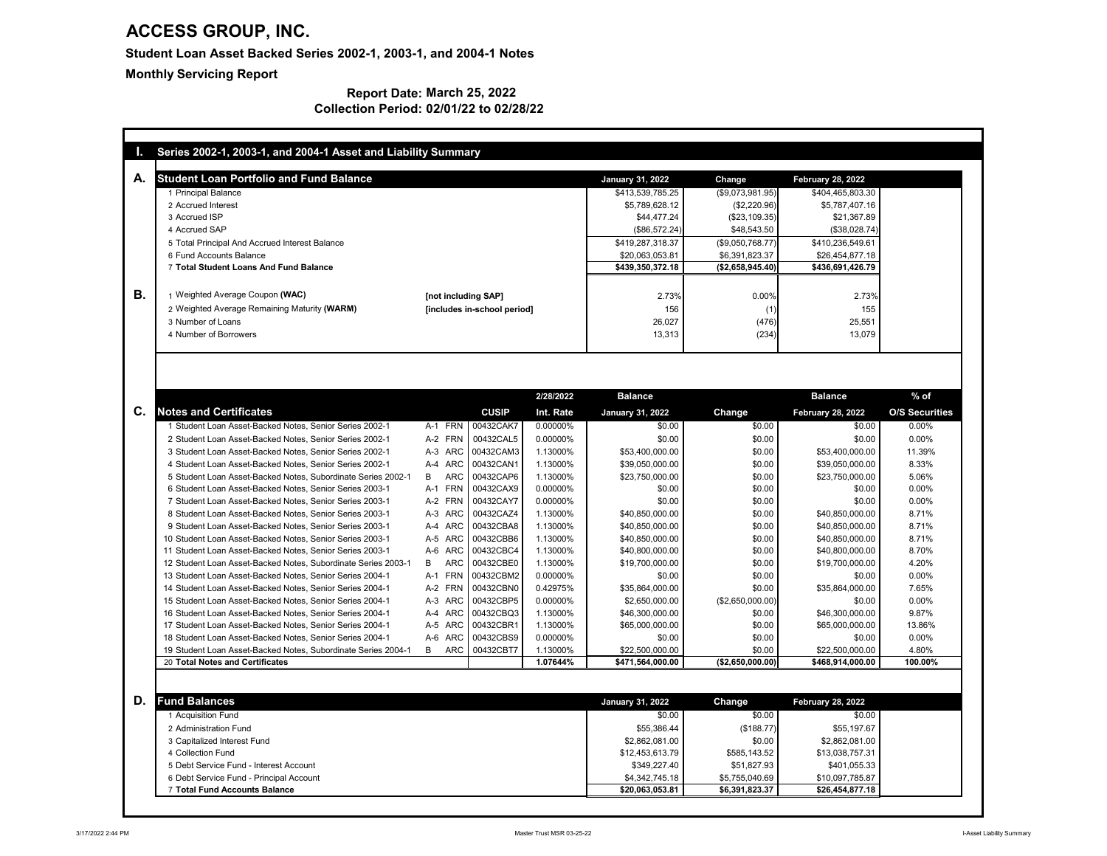| А. | <b>Student Loan Portfolio and Fund Balance</b>                                                                            |                                               |                      | <b>January 31, 2022</b>   | Change                  | <b>February 28, 2022</b>           |                                |
|----|---------------------------------------------------------------------------------------------------------------------------|-----------------------------------------------|----------------------|---------------------------|-------------------------|------------------------------------|--------------------------------|
|    | 1 Principal Balance                                                                                                       |                                               |                      | \$413,539,785.25          | (\$9,073,981.95)        | \$404,465,803.30                   |                                |
|    | 2 Accrued Interest                                                                                                        |                                               |                      | \$5,789,628.12            | (\$2,220.96)            | \$5,787,407.16                     |                                |
|    | 3 Accrued ISP                                                                                                             |                                               |                      | \$44,477.24               | (\$23,109.35)           | \$21,367.89                        |                                |
|    | 4 Accrued SAP                                                                                                             |                                               |                      | (\$86,572.24)             | \$48,543.50             | (\$38,028.74)                      |                                |
|    | 5 Total Principal And Accrued Interest Balance                                                                            |                                               |                      | \$419,287,318.37          | (\$9,050,768.77)        | \$410,236,549.61                   |                                |
|    | 6 Fund Accounts Balance                                                                                                   |                                               |                      | \$20,063,053.81           | \$6,391,823.37          | \$26,454,877.18                    |                                |
|    | 7 Total Student Loans And Fund Balance                                                                                    |                                               |                      | \$439,350,372.18          | ( \$2,658,945.40)       | \$436,691,426.79                   |                                |
|    | 1 Weighted Average Coupon (WAC)                                                                                           | [not including SAP]                           |                      | 2.73%                     | 0.00%                   | 2.73%                              |                                |
|    | 2 Weighted Average Remaining Maturity (WARM)                                                                              |                                               |                      | 156                       |                         | 155                                |                                |
|    | 3 Number of Loans                                                                                                         | [includes in-school period]                   |                      | 26,027                    | (476)                   | 25,551                             |                                |
|    | 4 Number of Borrowers                                                                                                     |                                               |                      | 13,313                    | (234)                   | 13,079                             |                                |
|    |                                                                                                                           |                                               |                      |                           |                         |                                    |                                |
|    |                                                                                                                           |                                               | 2/28/2022            | <b>Balance</b>            |                         | <b>Balance</b>                     | $%$ of                         |
|    | <b>Notes and Certificates</b>                                                                                             | <b>CUSIP</b>                                  | Int. Rate            | <b>January 31, 2022</b>   |                         |                                    |                                |
|    | 1 Student Loan Asset-Backed Notes, Senior Series 2002-1                                                                   | A-1 FRN<br>00432CAK7                          | 0.00000%             | \$0.00                    | <b>Change</b><br>\$0.00 | <b>February 28, 2022</b><br>\$0.00 | 0.00%                          |
|    | 2 Student Loan Asset-Backed Notes, Senior Series 2002-1                                                                   | 00432CAL5<br>A-2 FRN                          | 0.00000%             | \$0.00                    | \$0.00                  | \$0.00                             | 0.00%                          |
|    | 3 Student Loan Asset-Backed Notes, Senior Series 2002-1                                                                   | A-3 ARC<br>00432CAM3                          | 1.13000%             | \$53,400,000.00           | \$0.00                  | \$53,400,000.00                    |                                |
|    | 4 Student Loan Asset-Backed Notes, Senior Series 2002-1                                                                   | A-4 ARC<br>00432CAN1                          | 1.13000%             | \$39,050,000.00           | \$0.00                  | \$39,050,000.00                    | 8.33%                          |
|    | 5 Student Loan Asset-Backed Notes, Subordinate Series 2002-1                                                              | 00432CAP6<br>B<br>ARC                         | 1.13000%             | \$23,750,000.00           | \$0.00                  | \$23,750,000.00                    | 5.06%                          |
|    | 6 Student Loan Asset-Backed Notes, Senior Series 2003-1                                                                   | A-1 FRN 00432CAX9                             | 0.00000%             | \$0.00                    | \$0.00                  | \$0.00                             | 0.00%                          |
|    | 7 Student Loan Asset-Backed Notes, Senior Series 2003-1                                                                   | 00432CAY7<br>A-2 FRN                          | 0.00000%             | \$0.00                    | \$0.00                  | \$0.00                             | 0.00%                          |
|    | 8 Student Loan Asset-Backed Notes, Senior Series 2003-1                                                                   | 00432CAZ4<br>A-3 ARC                          | 1.13000%             | \$40,850,000.00           | \$0.00                  | \$40,850,000.00                    | 11.39%<br>8.71%                |
|    | 9 Student Loan Asset-Backed Notes, Senior Series 2003-1                                                                   | A-4 ARC<br>00432CBA8                          | 1.13000%             | \$40,850,000.00           | \$0.00                  | \$40,850,000.00                    | 8.71%                          |
|    | 10 Student Loan Asset-Backed Notes, Senior Series 2003-1                                                                  | A-5 ARC<br>00432CBB6                          | 1.13000%             | \$40,850,000.00           | \$0.00                  | \$40,850,000.00                    | 8.71%                          |
|    | 11 Student Loan Asset-Backed Notes, Senior Series 2003-1                                                                  | A-6 ARC<br>00432CBC4                          | 1.13000%             | \$40,800,000.00           | \$0.00                  | \$40,800,000.00                    | 8.70%                          |
|    | 12 Student Loan Asset-Backed Notes, Subordinate Series 2003-1                                                             | ARC<br>00432CBE0<br>B                         | 1.13000%             | \$19,700,000.00           | \$0.00                  | \$19,700,000.00                    | 4.20%                          |
|    | 13 Student Loan Asset-Backed Notes, Senior Series 2004-1                                                                  | 00432CBM2<br>A-1 FRN                          | 0.00000%             | \$0.00                    | \$0.00                  | \$0.00                             | 0.00%                          |
|    | 14 Student Loan Asset-Backed Notes, Senior Series 2004-1                                                                  | A-2 FRN<br>00432CBN0                          | 0.42975%             | \$35,864,000.00           | \$0.00                  | \$35,864,000.00                    | 7.65%                          |
|    | 15 Student Loan Asset-Backed Notes, Senior Series 2004-1                                                                  | A-3 ARC<br>00432CBP5                          | 0.00000%             | \$2,650,000.00            | (\$2,650,000.00)        | \$0.00                             | 0.00%                          |
|    | 16 Student Loan Asset-Backed Notes, Senior Series 2004-1                                                                  | 00432CBQ3<br>A-4 ARC                          | 1.13000%             | \$46,300,000.00           | \$0.00                  | \$46,300,000.00                    | <b>O/S Securities</b><br>9.87% |
|    | 17 Student Loan Asset-Backed Notes, Senior Series 2004-1                                                                  | 00432CBR1<br>A-5 ARC                          | 1.13000%             | \$65,000,000.00           | \$0.00                  | \$65,000,000.00                    | 13.86%                         |
|    | 18 Student Loan Asset-Backed Notes, Senior Series 2004-1<br>19 Student Loan Asset-Backed Notes, Subordinate Series 2004-1 | A-6 ARC<br>00432CBS9<br>00432CBT7<br>B<br>ARC | 0.00000%<br>1.13000% | \$0.00<br>\$22,500,000.00 | \$0.00<br>\$0.00        | \$0.00<br>\$22,500,000.00          | 0.00%<br>4.80%                 |

### **Report Date: March 25, 2022 Collection Period: 02/01/22 to 02/28/22**

| D.<br><b>Fund Balances</b>              | <b>January 31, 2022</b> | Change         | <b>February 28, 2022</b> |
|-----------------------------------------|-------------------------|----------------|--------------------------|
| l Acquisition Fund                      | \$0.00                  | \$0.00         | \$0.00                   |
| 2 Administration Fund                   | \$55,386.44             | (\$188.77)     | \$55,197.67              |
| 3 Capitalized Interest Fund             | \$2,862,081.00          | \$0.00         | \$2,862,081.00           |
| 4 Collection Fund                       | \$12,453,613.79         | \$585,143.52   | \$13,038,757.31          |
| 5 Debt Service Fund - Interest Account  | \$349,227.40            | \$51,827.93    | \$401,055.33             |
| 6 Debt Service Fund - Principal Account | \$4,342,745.18          | \$5,755,040.69 | \$10,097,785.87          |
| Total Fund Accounts Balance             | \$20,063,053.81         | \$6,391,823.37 | \$26,454,877.18          |

# **ACCESS GROUP, INC.**

**Student Loan Asset Backed Series 2002-1, 2003-1, and 2004-1 Notes**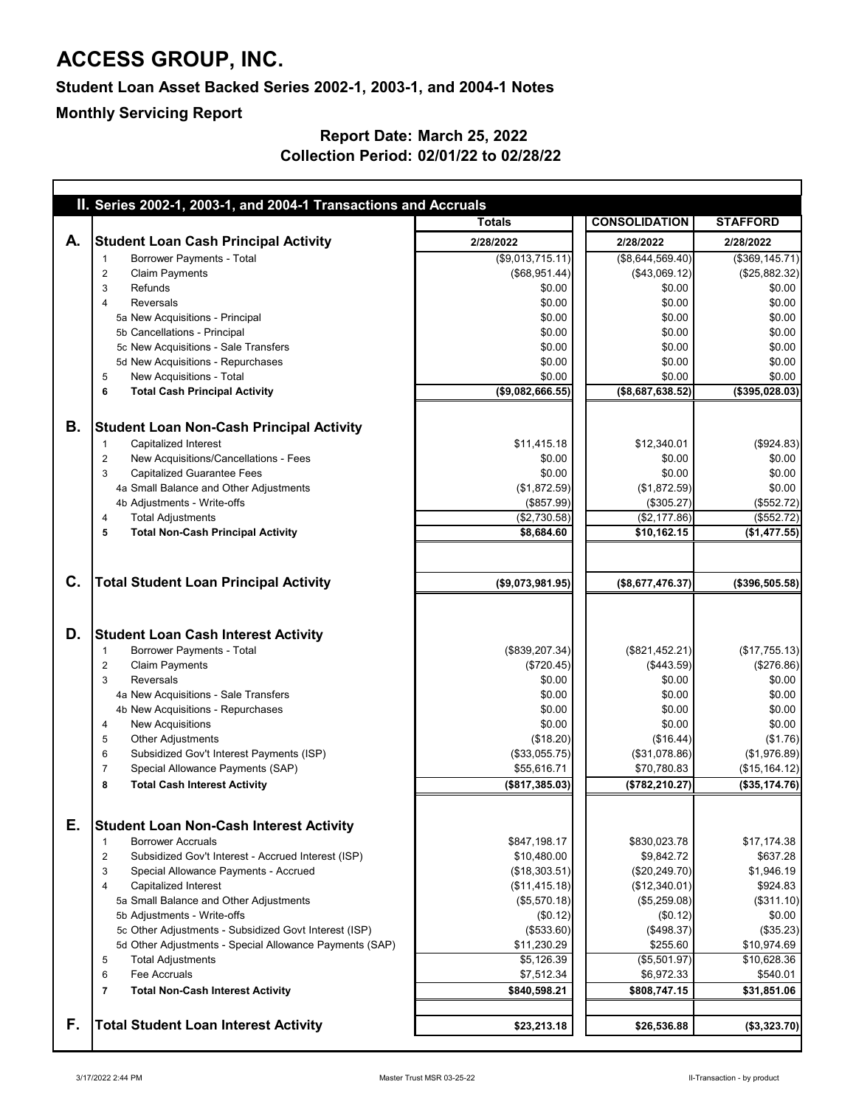|                | II. Series 2002-1, 2003-1, and 2004-1 Transactions and Accruals                                                                                                                                                                                                                                                                                                                                                                                                                                                                  |                                                                                                                                                                    |                                                                                                                                                                  |                                                                                                                                                 |
|----------------|----------------------------------------------------------------------------------------------------------------------------------------------------------------------------------------------------------------------------------------------------------------------------------------------------------------------------------------------------------------------------------------------------------------------------------------------------------------------------------------------------------------------------------|--------------------------------------------------------------------------------------------------------------------------------------------------------------------|------------------------------------------------------------------------------------------------------------------------------------------------------------------|-------------------------------------------------------------------------------------------------------------------------------------------------|
|                |                                                                                                                                                                                                                                                                                                                                                                                                                                                                                                                                  | <b>Totals</b>                                                                                                                                                      | <b>CONSOLIDATION</b>                                                                                                                                             | <b>STAFFORD</b>                                                                                                                                 |
| А.             | <b>Student Loan Cash Principal Activity</b>                                                                                                                                                                                                                                                                                                                                                                                                                                                                                      | 2/28/2022                                                                                                                                                          | 2/28/2022                                                                                                                                                        | 2/28/2022                                                                                                                                       |
|                | <b>Borrower Payments - Total</b><br>$\mathbf 1$                                                                                                                                                                                                                                                                                                                                                                                                                                                                                  | (\$9,013,715.11)                                                                                                                                                   | (\$8,644,569.40)                                                                                                                                                 | (\$369, 145.71)                                                                                                                                 |
|                | <b>Claim Payments</b><br>$\overline{2}$                                                                                                                                                                                                                                                                                                                                                                                                                                                                                          | (\$68,951.44)                                                                                                                                                      | (\$43,069.12)                                                                                                                                                    | (\$25,882.32)                                                                                                                                   |
|                | 3<br><b>Refunds</b>                                                                                                                                                                                                                                                                                                                                                                                                                                                                                                              | \$0.00                                                                                                                                                             | \$0.00                                                                                                                                                           | \$0.00                                                                                                                                          |
|                | <b>Reversals</b><br>4                                                                                                                                                                                                                                                                                                                                                                                                                                                                                                            | \$0.00                                                                                                                                                             | \$0.00                                                                                                                                                           | \$0.00                                                                                                                                          |
|                | 5a New Acquisitions - Principal                                                                                                                                                                                                                                                                                                                                                                                                                                                                                                  | \$0.00                                                                                                                                                             | \$0.00                                                                                                                                                           | \$0.00                                                                                                                                          |
|                | 5b Cancellations - Principal                                                                                                                                                                                                                                                                                                                                                                                                                                                                                                     | \$0.00                                                                                                                                                             | \$0.00                                                                                                                                                           | \$0.00                                                                                                                                          |
|                | 5c New Acquisitions - Sale Transfers                                                                                                                                                                                                                                                                                                                                                                                                                                                                                             | \$0.00                                                                                                                                                             | \$0.00                                                                                                                                                           | \$0.00                                                                                                                                          |
|                | 5d New Acquisitions - Repurchases                                                                                                                                                                                                                                                                                                                                                                                                                                                                                                | \$0.00                                                                                                                                                             | \$0.00                                                                                                                                                           | \$0.00                                                                                                                                          |
|                | New Acquisitions - Total<br>5                                                                                                                                                                                                                                                                                                                                                                                                                                                                                                    | \$0.00                                                                                                                                                             | \$0.00                                                                                                                                                           | \$0.00                                                                                                                                          |
|                | <b>Total Cash Principal Activity</b><br>6                                                                                                                                                                                                                                                                                                                                                                                                                                                                                        | ( \$9,082,666.55)                                                                                                                                                  | ( \$8,687,638.52)                                                                                                                                                | (\$395,028.03)                                                                                                                                  |
| В.             | <b>Student Loan Non-Cash Principal Activity</b>                                                                                                                                                                                                                                                                                                                                                                                                                                                                                  |                                                                                                                                                                    |                                                                                                                                                                  |                                                                                                                                                 |
|                | <b>Capitalized Interest</b>                                                                                                                                                                                                                                                                                                                                                                                                                                                                                                      | \$11,415.18                                                                                                                                                        | \$12,340.01                                                                                                                                                      | (\$924.83)                                                                                                                                      |
|                | New Acquisitions/Cancellations - Fees<br>$\overline{2}$                                                                                                                                                                                                                                                                                                                                                                                                                                                                          | \$0.00                                                                                                                                                             | \$0.00                                                                                                                                                           | \$0.00                                                                                                                                          |
|                | 3<br><b>Capitalized Guarantee Fees</b>                                                                                                                                                                                                                                                                                                                                                                                                                                                                                           | \$0.00                                                                                                                                                             | \$0.00                                                                                                                                                           | \$0.00                                                                                                                                          |
|                | 4a Small Balance and Other Adjustments                                                                                                                                                                                                                                                                                                                                                                                                                                                                                           | (\$1,872.59)                                                                                                                                                       | (\$1,872.59)                                                                                                                                                     | \$0.00                                                                                                                                          |
|                | 4b Adjustments - Write-offs                                                                                                                                                                                                                                                                                                                                                                                                                                                                                                      | (\$857.99)                                                                                                                                                         | (\$305.27)                                                                                                                                                       | (\$552.72)                                                                                                                                      |
|                | <b>Total Adjustments</b><br>4                                                                                                                                                                                                                                                                                                                                                                                                                                                                                                    | (\$2,730.58)                                                                                                                                                       | (\$2,177.86)                                                                                                                                                     | (\$552.72)                                                                                                                                      |
|                | 5<br><b>Total Non-Cash Principal Activity</b>                                                                                                                                                                                                                                                                                                                                                                                                                                                                                    | \$8,684.60                                                                                                                                                         | \$10,162.15                                                                                                                                                      | (\$1,477.55)                                                                                                                                    |
|                |                                                                                                                                                                                                                                                                                                                                                                                                                                                                                                                                  |                                                                                                                                                                    |                                                                                                                                                                  |                                                                                                                                                 |
| $\mathbf{C}$ . | <b>Total Student Loan Principal Activity</b>                                                                                                                                                                                                                                                                                                                                                                                                                                                                                     | (\$9,073,981.95)                                                                                                                                                   | (\$8,677,476.37)                                                                                                                                                 | (\$396,505.58)                                                                                                                                  |
| D.             | <b>Student Loan Cash Interest Activity</b><br><b>Borrower Payments - Total</b><br><b>Claim Payments</b><br>$\overline{2}$<br><b>Reversals</b><br>3<br>4a New Acquisitions - Sale Transfers<br>4b New Acquisitions - Repurchases<br><b>New Acquisitions</b><br>4<br>5<br><b>Other Adjustments</b><br>Subsidized Gov't Interest Payments (ISP)<br>6<br>Special Allowance Payments (SAP)<br>$\overline{7}$<br><b>Total Cash Interest Activity</b><br>8                                                                              | (\$839, 207.34)<br>(\$720.45)<br>\$0.00<br>\$0.00<br>\$0.00<br>\$0.00<br>(\$18.20)<br>(\$33,055.75)<br>\$55,616.71<br>(\$817,385.03)                               | (\$821,452.21)<br>(\$443.59)<br>\$0.00<br>\$0.00<br>\$0.00<br>\$0.00<br>(\$16.44)<br>(\$31,078.86)<br>\$70,780.83<br>(\$782, 210.27)                             | (\$17,755.13)<br>(\$276.86)<br>\$0.00<br>\$0.00<br>\$0.00<br>\$0.00<br>(\$1.76)<br>(\$1,976.89)<br>(\$15, 164.12)<br>(\$35,174.76)              |
| Е.             | <b>Student Loan Non-Cash Interest Activity</b><br><b>Borrower Accruals</b><br>Subsidized Gov't Interest - Accrued Interest (ISP)<br>2<br>3<br>Special Allowance Payments - Accrued<br><b>Capitalized Interest</b><br>4<br>5a Small Balance and Other Adjustments<br>5b Adjustments - Write-offs<br>5c Other Adjustments - Subsidized Govt Interest (ISP)<br>5d Other Adjustments - Special Allowance Payments (SAP)<br>5<br><b>Total Adjustments</b><br><b>Fee Accruals</b><br>6<br><b>Total Non-Cash Interest Activity</b><br>7 | \$847,198.17<br>\$10,480.00<br>(\$18,303.51)<br>(\$11,415.18)<br>(\$5,570.18)<br>(\$0.12)<br>(\$533.60)<br>\$11,230.29<br>\$5,126.39<br>\$7,512.34<br>\$840,598.21 | \$830,023.78<br>\$9,842.72<br>(\$20,249.70)<br>(\$12,340.01)<br>(\$5,259.08)<br>(\$0.12)<br>(\$498.37)<br>\$255.60<br>(\$5,501.97)<br>\$6,972.33<br>\$808,747.15 | \$17,174.38<br>\$637.28<br>\$1,946.19<br>\$924.83<br>(\$311.10)<br>\$0.00<br>(\$35.23)<br>\$10,974.69<br>\$10,628.36<br>\$540.01<br>\$31,851.06 |
|                |                                                                                                                                                                                                                                                                                                                                                                                                                                                                                                                                  |                                                                                                                                                                    |                                                                                                                                                                  |                                                                                                                                                 |
| F.             | <b>Total Student Loan Interest Activity</b>                                                                                                                                                                                                                                                                                                                                                                                                                                                                                      | \$23,213.18                                                                                                                                                        | \$26,536.88                                                                                                                                                      | (\$3,323.70)                                                                                                                                    |

### **Student Loan Asset Backed Series 2002-1, 2003-1, and 2004-1 Notes**

### **Report Date: March 25, 2022 Collection Period: 02/01/22 to 02/28/22**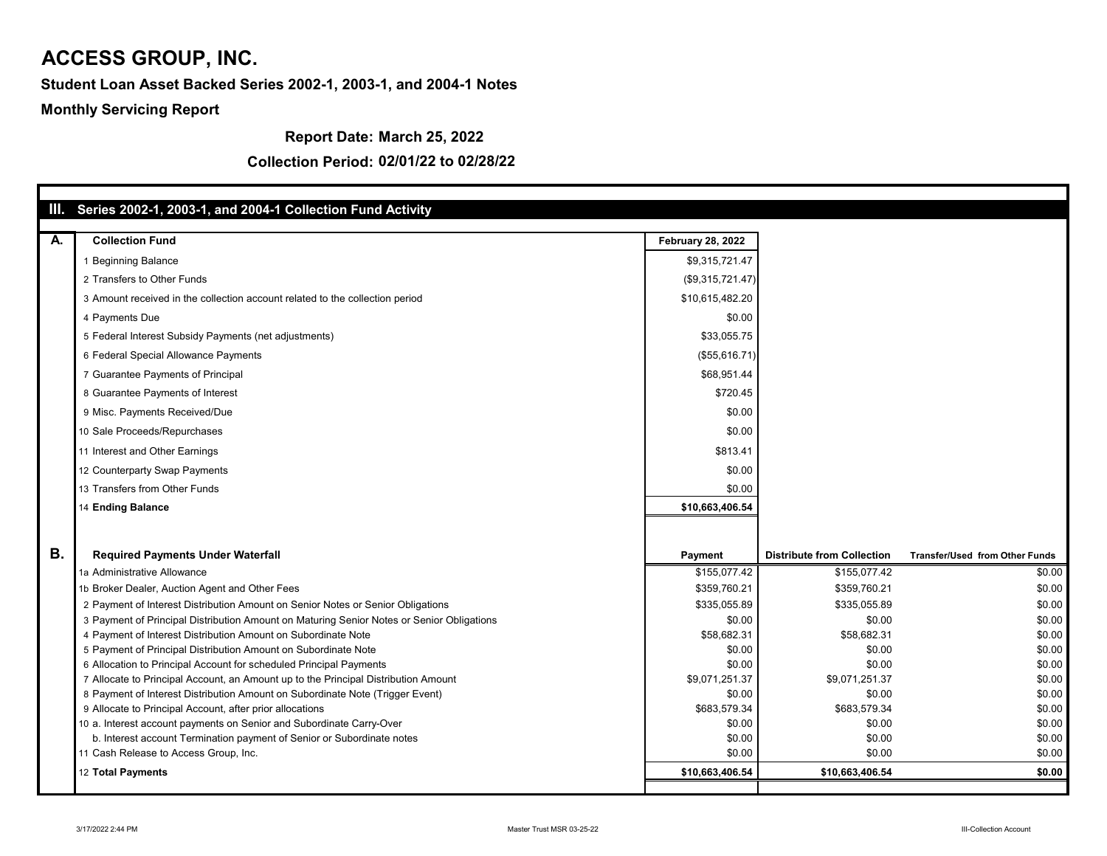**Report Date: March 25, 2022**

|    | III. Series 2002-1, 2003-1, and 2004-1 Collection Fund Activity                           |                          |                                   |                                       |
|----|-------------------------------------------------------------------------------------------|--------------------------|-----------------------------------|---------------------------------------|
|    |                                                                                           |                          |                                   |                                       |
| A. | <b>Collection Fund</b>                                                                    | <b>February 28, 2022</b> |                                   |                                       |
|    | <b>Beginning Balance</b>                                                                  | \$9,315,721.47           |                                   |                                       |
|    | 2 Transfers to Other Funds                                                                | (\$9,315,721.47)         |                                   |                                       |
|    | 3 Amount received in the collection account related to the collection period              | \$10,615,482.20          |                                   |                                       |
|    | 4 Payments Due                                                                            | \$0.00                   |                                   |                                       |
|    | 5 Federal Interest Subsidy Payments (net adjustments)                                     | \$33,055.75              |                                   |                                       |
|    | 6 Federal Special Allowance Payments                                                      | (\$55,616.71)            |                                   |                                       |
|    | 7 Guarantee Payments of Principal                                                         | \$68,951.44              |                                   |                                       |
|    | 8 Guarantee Payments of Interest                                                          | \$720.45                 |                                   |                                       |
|    | 9 Misc. Payments Received/Due                                                             | \$0.00                   |                                   |                                       |
|    | 10 Sale Proceeds/Repurchases                                                              | \$0.00                   |                                   |                                       |
|    | 11 Interest and Other Earnings                                                            | \$813.41                 |                                   |                                       |
|    | 12 Counterparty Swap Payments                                                             | \$0.00                   |                                   |                                       |
|    | 13 Transfers from Other Funds                                                             | \$0.00                   |                                   |                                       |
|    | 14 Ending Balance                                                                         | \$10,663,406.54          |                                   |                                       |
|    |                                                                                           |                          |                                   |                                       |
|    |                                                                                           |                          |                                   |                                       |
| В. | <b>Required Payments Under Waterfall</b>                                                  | <b>Payment</b>           | <b>Distribute from Collection</b> | <b>Transfer/Used from Other Funds</b> |
|    | 1a Administrative Allowance                                                               | \$155,077.42             | \$155,077.42                      | \$0.00                                |
|    | 1b Broker Dealer, Auction Agent and Other Fees                                            | \$359,760.21             | \$359,760.21                      | \$0.00                                |
|    | 2 Payment of Interest Distribution Amount on Senior Notes or Senior Obligations           | \$335,055.89             | \$335,055.89                      | \$0.00                                |
|    | 3 Payment of Principal Distribution Amount on Maturing Senior Notes or Senior Obligations | \$0.00                   | \$0.00                            | \$0.00                                |
|    | 4 Payment of Interest Distribution Amount on Subordinate Note                             | \$58,682.31              | \$58,682.31                       | \$0.00                                |
|    | 5 Payment of Principal Distribution Amount on Subordinate Note                            | \$0.00                   | \$0.00                            | \$0.00                                |
|    | 6 Allocation to Principal Account for scheduled Principal Payments                        | \$0.00                   | \$0.00                            | \$0.00                                |
|    | 7 Allocate to Principal Account, an Amount up to the Principal Distribution Amount        | \$9,071,251.37           | \$9,071,251.37                    | \$0.00                                |
|    | 8 Payment of Interest Distribution Amount on Subordinate Note (Trigger Event)             | \$0.00                   | \$0.00                            | \$0.00                                |
|    | 9 Allocate to Principal Account, after prior allocations                                  | \$683,579.34             | \$683,579.34                      | \$0.00                                |
|    | 10 a. Interest account payments on Senior and Subordinate Carry-Over                      | \$0.00                   | \$0.00                            | \$0.00                                |
|    | b. Interest account Termination payment of Senior or Subordinate notes                    | \$0.00                   | \$0.00                            | \$0.00                                |
|    | 11 Cash Release to Access Group, Inc.                                                     | \$0.00                   | \$0.00                            | \$0.00                                |
|    | 12 Total Payments                                                                         | \$10,663,406.54          | \$10,663,406.54                   | \$0.00                                |
|    |                                                                                           |                          |                                   |                                       |

### **Collection Period: 02/01/22 to 02/28/22**

# **ACCESS GROUP, INC.**

### **Student Loan Asset Backed Series 2002-1, 2003-1, and 2004-1 Notes**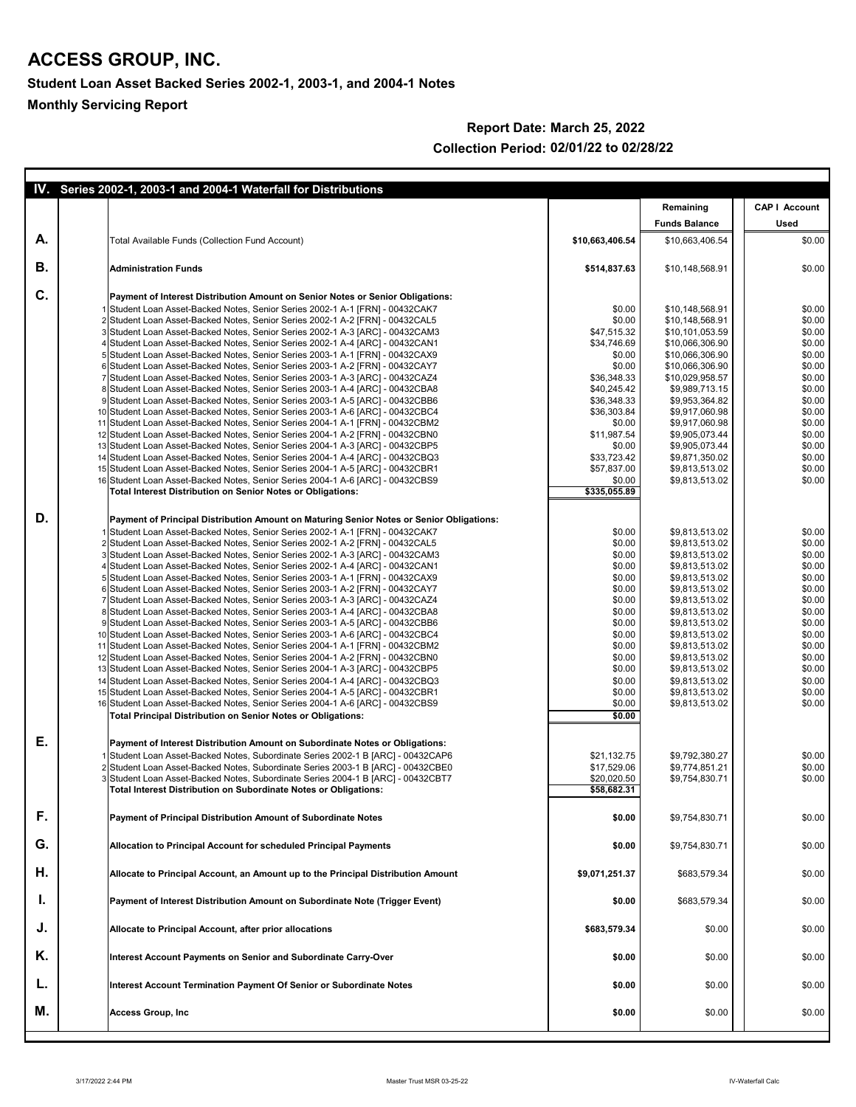| <b>CAP   Account</b><br>Remaining<br><b>Funds Balance</b><br><b>Used</b><br>A.<br><b>Total Available Funds (Collection Fund Account)</b><br>\$10,663,406.54<br>\$10,663,406.54<br>В.<br>\$10,148,568.91<br><b>Administration Funds</b><br>\$514,837.63<br>C.<br><b>Payment of Interest Distribution Amount on Senior Notes or Senior Obligations:</b><br>1 Student Loan Asset-Backed Notes, Senior Series 2002-1 A-1 [FRN] - 00432CAK7<br>\$10,148,568.91<br>\$0.00<br>\$0.00<br>2 Student Loan Asset-Backed Notes, Senior Series 2002-1 A-2 [FRN] - 00432CAL5<br>\$10,148,568.91<br>\$0.00<br>3 Student Loan Asset-Backed Notes, Senior Series 2002-1 A-3 [ARC] - 00432CAM3<br>\$47,515.32<br>\$10,101,053.59<br>\$0.00<br>4 Student Loan Asset-Backed Notes, Senior Series 2002-1 A-4 [ARC] - 00432CAN1<br>\$0.00<br>\$34,746.69<br>\$10,066,306.90<br>5 Student Loan Asset-Backed Notes, Senior Series 2003-1 A-1 [FRN] - 00432CAX9<br>\$0.00<br>\$10,066,306.90<br>6 Student Loan Asset-Backed Notes, Senior Series 2003-1 A-2 [FRN] - 00432CAY7<br>\$0.00<br>\$10,066,306.90<br>7 Student Loan Asset-Backed Notes, Senior Series 2003-1 A-3 [ARC] - 00432CAZ4<br>\$36,348.33<br>\$0.00<br>\$10,029,958.57<br>8 Student Loan Asset-Backed Notes, Senior Series 2003-1 A-4 [ARC] - 00432CBA8<br>\$40,245.42<br>\$9,989,713.15<br>\$0.00<br>9 Student Loan Asset-Backed Notes, Senior Series 2003-1 A-5 [ARC] - 00432CBB6<br>\$36,348.33<br>\$0.00<br>\$9,953,364.82<br>10 Student Loan Asset-Backed Notes, Senior Series 2003-1 A-6 [ARC] - 00432CBC4<br>\$36,303.84<br>\$9,917,060.98<br>\$0.00<br>11 Student Loan Asset-Backed Notes, Senior Series 2004-1 A-1 [FRN] - 00432CBM2<br>\$0.00<br>\$9,917,060.98<br>\$0.00<br>12 Student Loan Asset-Backed Notes, Senior Series 2004-1 A-2 [FRN] - 00432CBN0<br>\$11,987.54<br>\$9,905,073.44<br>13 Student Loan Asset-Backed Notes, Senior Series 2004-1 A-3 [ARC] - 00432CBP5<br>\$0.00<br>\$0.00<br>\$9,905,073.44<br>14 Student Loan Asset-Backed Notes, Senior Series 2004-1 A-4 [ARC] - 00432CBQ3<br>\$33,723.42<br>\$9,871,350.02<br>\$0.00<br>15 Student Loan Asset-Backed Notes, Senior Series 2004-1 A-5 [ARC] - 00432CBR1<br>\$57,837.00<br>\$9,813,513.02<br>\$0.00<br>16 Student Loan Asset-Backed Notes, Senior Series 2004-1 A-6 [ARC] - 00432CBS9<br>\$0.00<br>\$9,813,513.02<br>\$335,055.89<br><b>Total Interest Distribution on Senior Notes or Obligations:</b><br>D.<br>Payment of Principal Distribution Amount on Maturing Senior Notes or Senior Obligations:<br>1 Student Loan Asset-Backed Notes, Senior Series 2002-1 A-1 [FRN] - 00432CAK7<br>\$0.00<br>\$9,813,513.02<br>2 Student Loan Asset-Backed Notes, Senior Series 2002-1 A-2 [FRN] - 00432CAL5<br>\$0.00<br>\$9,813,513.02<br>3 Student Loan Asset-Backed Notes, Senior Series 2002-1 A-3 [ARC] - 00432CAM3<br>\$0.00<br>\$9,813,513.02<br>\$0.00<br>\$0.00<br>4 Student Loan Asset-Backed Notes, Senior Series 2002-1 A-4 [ARC] - 00432CAN1<br>\$0.00<br>\$9,813,513.02<br>5 Student Loan Asset-Backed Notes, Senior Series 2003-1 A-1 [FRN] - 00432CAX9<br>\$0.00<br>\$0.00<br>\$9,813,513.02<br>6 Student Loan Asset-Backed Notes, Senior Series 2003-1 A-2 [FRN] - 00432CAY7<br>\$0.00<br>\$9,813,513.02<br>\$0.00<br>7 Student Loan Asset-Backed Notes, Senior Series 2003-1 A-3 [ARC] - 00432CAZ4<br>\$9,813,513.02<br>8 Student Loan Asset-Backed Notes, Senior Series 2003-1 A-4 [ARC] - 00432CBA8<br>\$0.00<br>\$0.00<br>\$9,813,513.02<br>\$0.00<br>\$0.00<br>9 Student Loan Asset-Backed Notes, Senior Series 2003-1 A-5 [ARC] - 00432CBB6<br>\$9,813,513.02<br>\$0.00<br>10 Student Loan Asset-Backed Notes, Senior Series 2003-1 A-6 [ARC] - 00432CBC4<br>\$0.00<br>\$9,813,513.02<br>11 Student Loan Asset-Backed Notes, Senior Series 2004-1 A-1 [FRN] - 00432CBM2<br>\$0.00<br>\$0.00<br>\$9,813,513.02<br>12 Student Loan Asset-Backed Notes, Senior Series 2004-1 A-2 [FRN] - 00432CBN0<br>\$0.00<br>\$9,813,513.02<br>\$0.00<br>13 Student Loan Asset-Backed Notes, Senior Series 2004-1 A-3 [ARC] - 00432CBP5<br>\$9,813,513.02<br>\$0.00<br>14 Student Loan Asset-Backed Notes, Senior Series 2004-1 A-4 [ARC] - 00432CBQ3<br>\$0.00<br>\$9,813,513.02<br>15 Student Loan Asset-Backed Notes, Senior Series 2004-1 A-5 [ARC] - 00432CBR1<br>\$0.00<br>\$9,813,513.02<br>\$0.00<br>16 Student Loan Asset-Backed Notes, Senior Series 2004-1 A-6 [ARC] - 00432CBS9<br>\$0.00<br>\$0.00<br>\$9,813,513.02<br>\$0.00<br><b>Total Principal Distribution on Senior Notes or Obligations:</b><br>Ε.<br>Payment of Interest Distribution Amount on Subordinate Notes or Obligations:<br>1 Student Loan Asset-Backed Notes, Subordinate Series 2002-1 B [ARC] - 00432CAP6<br>\$21,132.75<br>\$9,792,380.27<br>2 Student Loan Asset-Backed Notes, Subordinate Series 2003-1 B [ARC] - 00432CBE0<br>\$17,529.06<br>\$9,774,851.21<br>3 Student Loan Asset-Backed Notes, Subordinate Series 2004-1 B [ARC] - 00432CBT7<br>\$20,020.50<br>\$9,754,830.71<br>\$58,682.31<br><b>Total Interest Distribution on Subordinate Notes or Obligations:</b><br>F.<br>\$0.00<br>\$9,754,830.71<br><b>Payment of Principal Distribution Amount of Subordinate Notes</b><br>G.<br><b>Allocation to Principal Account for scheduled Principal Payments</b><br>\$0.00<br>\$9,754,830.71<br>Η.<br>\$9,071,251.37<br>\$683,579.34<br>Allocate to Principal Account, an Amount up to the Principal Distribution Amount<br><b>Payment of Interest Distribution Amount on Subordinate Note (Trigger Event)</b><br>\$0.00<br>\$683,579.34<br>ъ.<br>\$0.00<br>\$683,579.34<br>J.<br><b>Allocate to Principal Account, after prior allocations</b><br>K.<br>Interest Account Payments on Senior and Subordinate Carry-Over<br>\$0.00<br>\$0.00<br>\$0.00<br>\$0.00<br>Interest Account Termination Payment Of Senior or Subordinate Notes<br>\$0.00<br>L.<br>М.<br>\$0.00<br>\$0.00<br><b>Access Group, Inc.</b> | IV. Series 2002-1, 2003-1 and 2004-1 Waterfall for Distributions |  |        |
|-------------------------------------------------------------------------------------------------------------------------------------------------------------------------------------------------------------------------------------------------------------------------------------------------------------------------------------------------------------------------------------------------------------------------------------------------------------------------------------------------------------------------------------------------------------------------------------------------------------------------------------------------------------------------------------------------------------------------------------------------------------------------------------------------------------------------------------------------------------------------------------------------------------------------------------------------------------------------------------------------------------------------------------------------------------------------------------------------------------------------------------------------------------------------------------------------------------------------------------------------------------------------------------------------------------------------------------------------------------------------------------------------------------------------------------------------------------------------------------------------------------------------------------------------------------------------------------------------------------------------------------------------------------------------------------------------------------------------------------------------------------------------------------------------------------------------------------------------------------------------------------------------------------------------------------------------------------------------------------------------------------------------------------------------------------------------------------------------------------------------------------------------------------------------------------------------------------------------------------------------------------------------------------------------------------------------------------------------------------------------------------------------------------------------------------------------------------------------------------------------------------------------------------------------------------------------------------------------------------------------------------------------------------------------------------------------------------------------------------------------------------------------------------------------------------------------------------------------------------------------------------------------------------------------------------------------------------------------------------------------------------------------------------------------------------------------------------------------------------------------------------------------------------------------------------------------------------------------------------------------------------------------------------------------------------------------------------------------------------------------------------------------------------------------------------------------------------------------------------------------------------------------------------------------------------------------------------------------------------------------------------------------------------------------------------------------------------------------------------------------------------------------------------------------------------------------------------------------------------------------------------------------------------------------------------------------------------------------------------------------------------------------------------------------------------------------------------------------------------------------------------------------------------------------------------------------------------------------------------------------------------------------------------------------------------------------------------------------------------------------------------------------------------------------------------------------------------------------------------------------------------------------------------------------------------------------------------------------------------------------------------------------------------------------------------------------------------------------------------------------------------------------------------------------------------------------------------------------------------------------------------------------------------------------------------------------------------------------------------------------------------------------------------------------------------------------------------------------------------------------------------------------------------------------------------------------------------------------------------------------------------------------------------------------------------------------------------------------------------------------------------------------------------------------------------------------------------------------------------------------------------------------------------------------------------------------------------------------------------------------------------------------------------------------------------------------------------------------------------------------------------------------------------------------------------------------------------------------------------------------------------------------------------------------------------------|------------------------------------------------------------------|--|--------|
|                                                                                                                                                                                                                                                                                                                                                                                                                                                                                                                                                                                                                                                                                                                                                                                                                                                                                                                                                                                                                                                                                                                                                                                                                                                                                                                                                                                                                                                                                                                                                                                                                                                                                                                                                                                                                                                                                                                                                                                                                                                                                                                                                                                                                                                                                                                                                                                                                                                                                                                                                                                                                                                                                                                                                                                                                                                                                                                                                                                                                                                                                                                                                                                                                                                                                                                                                                                                                                                                                                                                                                                                                                                                                                                                                                                                                                                                                                                                                                                                                                                                                                                                                                                                                                                                                                                                                                                                                                                                                                                                                                                                                                                                                                                                                                                                                                                                                                                                                                                                                                                                                                                                                                                                                                                                                                                                                                                                                                                                                                                                                                                                                                                                                                                                                                                                                                                                                                                                           |                                                                  |  |        |
|                                                                                                                                                                                                                                                                                                                                                                                                                                                                                                                                                                                                                                                                                                                                                                                                                                                                                                                                                                                                                                                                                                                                                                                                                                                                                                                                                                                                                                                                                                                                                                                                                                                                                                                                                                                                                                                                                                                                                                                                                                                                                                                                                                                                                                                                                                                                                                                                                                                                                                                                                                                                                                                                                                                                                                                                                                                                                                                                                                                                                                                                                                                                                                                                                                                                                                                                                                                                                                                                                                                                                                                                                                                                                                                                                                                                                                                                                                                                                                                                                                                                                                                                                                                                                                                                                                                                                                                                                                                                                                                                                                                                                                                                                                                                                                                                                                                                                                                                                                                                                                                                                                                                                                                                                                                                                                                                                                                                                                                                                                                                                                                                                                                                                                                                                                                                                                                                                                                                           |                                                                  |  |        |
|                                                                                                                                                                                                                                                                                                                                                                                                                                                                                                                                                                                                                                                                                                                                                                                                                                                                                                                                                                                                                                                                                                                                                                                                                                                                                                                                                                                                                                                                                                                                                                                                                                                                                                                                                                                                                                                                                                                                                                                                                                                                                                                                                                                                                                                                                                                                                                                                                                                                                                                                                                                                                                                                                                                                                                                                                                                                                                                                                                                                                                                                                                                                                                                                                                                                                                                                                                                                                                                                                                                                                                                                                                                                                                                                                                                                                                                                                                                                                                                                                                                                                                                                                                                                                                                                                                                                                                                                                                                                                                                                                                                                                                                                                                                                                                                                                                                                                                                                                                                                                                                                                                                                                                                                                                                                                                                                                                                                                                                                                                                                                                                                                                                                                                                                                                                                                                                                                                                                           |                                                                  |  | \$0.00 |
|                                                                                                                                                                                                                                                                                                                                                                                                                                                                                                                                                                                                                                                                                                                                                                                                                                                                                                                                                                                                                                                                                                                                                                                                                                                                                                                                                                                                                                                                                                                                                                                                                                                                                                                                                                                                                                                                                                                                                                                                                                                                                                                                                                                                                                                                                                                                                                                                                                                                                                                                                                                                                                                                                                                                                                                                                                                                                                                                                                                                                                                                                                                                                                                                                                                                                                                                                                                                                                                                                                                                                                                                                                                                                                                                                                                                                                                                                                                                                                                                                                                                                                                                                                                                                                                                                                                                                                                                                                                                                                                                                                                                                                                                                                                                                                                                                                                                                                                                                                                                                                                                                                                                                                                                                                                                                                                                                                                                                                                                                                                                                                                                                                                                                                                                                                                                                                                                                                                                           |                                                                  |  | \$0.00 |
|                                                                                                                                                                                                                                                                                                                                                                                                                                                                                                                                                                                                                                                                                                                                                                                                                                                                                                                                                                                                                                                                                                                                                                                                                                                                                                                                                                                                                                                                                                                                                                                                                                                                                                                                                                                                                                                                                                                                                                                                                                                                                                                                                                                                                                                                                                                                                                                                                                                                                                                                                                                                                                                                                                                                                                                                                                                                                                                                                                                                                                                                                                                                                                                                                                                                                                                                                                                                                                                                                                                                                                                                                                                                                                                                                                                                                                                                                                                                                                                                                                                                                                                                                                                                                                                                                                                                                                                                                                                                                                                                                                                                                                                                                                                                                                                                                                                                                                                                                                                                                                                                                                                                                                                                                                                                                                                                                                                                                                                                                                                                                                                                                                                                                                                                                                                                                                                                                                                                           |                                                                  |  |        |
|                                                                                                                                                                                                                                                                                                                                                                                                                                                                                                                                                                                                                                                                                                                                                                                                                                                                                                                                                                                                                                                                                                                                                                                                                                                                                                                                                                                                                                                                                                                                                                                                                                                                                                                                                                                                                                                                                                                                                                                                                                                                                                                                                                                                                                                                                                                                                                                                                                                                                                                                                                                                                                                                                                                                                                                                                                                                                                                                                                                                                                                                                                                                                                                                                                                                                                                                                                                                                                                                                                                                                                                                                                                                                                                                                                                                                                                                                                                                                                                                                                                                                                                                                                                                                                                                                                                                                                                                                                                                                                                                                                                                                                                                                                                                                                                                                                                                                                                                                                                                                                                                                                                                                                                                                                                                                                                                                                                                                                                                                                                                                                                                                                                                                                                                                                                                                                                                                                                                           |                                                                  |  | \$0.00 |
|                                                                                                                                                                                                                                                                                                                                                                                                                                                                                                                                                                                                                                                                                                                                                                                                                                                                                                                                                                                                                                                                                                                                                                                                                                                                                                                                                                                                                                                                                                                                                                                                                                                                                                                                                                                                                                                                                                                                                                                                                                                                                                                                                                                                                                                                                                                                                                                                                                                                                                                                                                                                                                                                                                                                                                                                                                                                                                                                                                                                                                                                                                                                                                                                                                                                                                                                                                                                                                                                                                                                                                                                                                                                                                                                                                                                                                                                                                                                                                                                                                                                                                                                                                                                                                                                                                                                                                                                                                                                                                                                                                                                                                                                                                                                                                                                                                                                                                                                                                                                                                                                                                                                                                                                                                                                                                                                                                                                                                                                                                                                                                                                                                                                                                                                                                                                                                                                                                                                           |                                                                  |  |        |
|                                                                                                                                                                                                                                                                                                                                                                                                                                                                                                                                                                                                                                                                                                                                                                                                                                                                                                                                                                                                                                                                                                                                                                                                                                                                                                                                                                                                                                                                                                                                                                                                                                                                                                                                                                                                                                                                                                                                                                                                                                                                                                                                                                                                                                                                                                                                                                                                                                                                                                                                                                                                                                                                                                                                                                                                                                                                                                                                                                                                                                                                                                                                                                                                                                                                                                                                                                                                                                                                                                                                                                                                                                                                                                                                                                                                                                                                                                                                                                                                                                                                                                                                                                                                                                                                                                                                                                                                                                                                                                                                                                                                                                                                                                                                                                                                                                                                                                                                                                                                                                                                                                                                                                                                                                                                                                                                                                                                                                                                                                                                                                                                                                                                                                                                                                                                                                                                                                                                           |                                                                  |  |        |
|                                                                                                                                                                                                                                                                                                                                                                                                                                                                                                                                                                                                                                                                                                                                                                                                                                                                                                                                                                                                                                                                                                                                                                                                                                                                                                                                                                                                                                                                                                                                                                                                                                                                                                                                                                                                                                                                                                                                                                                                                                                                                                                                                                                                                                                                                                                                                                                                                                                                                                                                                                                                                                                                                                                                                                                                                                                                                                                                                                                                                                                                                                                                                                                                                                                                                                                                                                                                                                                                                                                                                                                                                                                                                                                                                                                                                                                                                                                                                                                                                                                                                                                                                                                                                                                                                                                                                                                                                                                                                                                                                                                                                                                                                                                                                                                                                                                                                                                                                                                                                                                                                                                                                                                                                                                                                                                                                                                                                                                                                                                                                                                                                                                                                                                                                                                                                                                                                                                                           |                                                                  |  | \$0.00 |
|                                                                                                                                                                                                                                                                                                                                                                                                                                                                                                                                                                                                                                                                                                                                                                                                                                                                                                                                                                                                                                                                                                                                                                                                                                                                                                                                                                                                                                                                                                                                                                                                                                                                                                                                                                                                                                                                                                                                                                                                                                                                                                                                                                                                                                                                                                                                                                                                                                                                                                                                                                                                                                                                                                                                                                                                                                                                                                                                                                                                                                                                                                                                                                                                                                                                                                                                                                                                                                                                                                                                                                                                                                                                                                                                                                                                                                                                                                                                                                                                                                                                                                                                                                                                                                                                                                                                                                                                                                                                                                                                                                                                                                                                                                                                                                                                                                                                                                                                                                                                                                                                                                                                                                                                                                                                                                                                                                                                                                                                                                                                                                                                                                                                                                                                                                                                                                                                                                                                           |                                                                  |  | \$0.00 |
|                                                                                                                                                                                                                                                                                                                                                                                                                                                                                                                                                                                                                                                                                                                                                                                                                                                                                                                                                                                                                                                                                                                                                                                                                                                                                                                                                                                                                                                                                                                                                                                                                                                                                                                                                                                                                                                                                                                                                                                                                                                                                                                                                                                                                                                                                                                                                                                                                                                                                                                                                                                                                                                                                                                                                                                                                                                                                                                                                                                                                                                                                                                                                                                                                                                                                                                                                                                                                                                                                                                                                                                                                                                                                                                                                                                                                                                                                                                                                                                                                                                                                                                                                                                                                                                                                                                                                                                                                                                                                                                                                                                                                                                                                                                                                                                                                                                                                                                                                                                                                                                                                                                                                                                                                                                                                                                                                                                                                                                                                                                                                                                                                                                                                                                                                                                                                                                                                                                                           |                                                                  |  |        |
|                                                                                                                                                                                                                                                                                                                                                                                                                                                                                                                                                                                                                                                                                                                                                                                                                                                                                                                                                                                                                                                                                                                                                                                                                                                                                                                                                                                                                                                                                                                                                                                                                                                                                                                                                                                                                                                                                                                                                                                                                                                                                                                                                                                                                                                                                                                                                                                                                                                                                                                                                                                                                                                                                                                                                                                                                                                                                                                                                                                                                                                                                                                                                                                                                                                                                                                                                                                                                                                                                                                                                                                                                                                                                                                                                                                                                                                                                                                                                                                                                                                                                                                                                                                                                                                                                                                                                                                                                                                                                                                                                                                                                                                                                                                                                                                                                                                                                                                                                                                                                                                                                                                                                                                                                                                                                                                                                                                                                                                                                                                                                                                                                                                                                                                                                                                                                                                                                                                                           |                                                                  |  |        |
|                                                                                                                                                                                                                                                                                                                                                                                                                                                                                                                                                                                                                                                                                                                                                                                                                                                                                                                                                                                                                                                                                                                                                                                                                                                                                                                                                                                                                                                                                                                                                                                                                                                                                                                                                                                                                                                                                                                                                                                                                                                                                                                                                                                                                                                                                                                                                                                                                                                                                                                                                                                                                                                                                                                                                                                                                                                                                                                                                                                                                                                                                                                                                                                                                                                                                                                                                                                                                                                                                                                                                                                                                                                                                                                                                                                                                                                                                                                                                                                                                                                                                                                                                                                                                                                                                                                                                                                                                                                                                                                                                                                                                                                                                                                                                                                                                                                                                                                                                                                                                                                                                                                                                                                                                                                                                                                                                                                                                                                                                                                                                                                                                                                                                                                                                                                                                                                                                                                                           |                                                                  |  |        |
|                                                                                                                                                                                                                                                                                                                                                                                                                                                                                                                                                                                                                                                                                                                                                                                                                                                                                                                                                                                                                                                                                                                                                                                                                                                                                                                                                                                                                                                                                                                                                                                                                                                                                                                                                                                                                                                                                                                                                                                                                                                                                                                                                                                                                                                                                                                                                                                                                                                                                                                                                                                                                                                                                                                                                                                                                                                                                                                                                                                                                                                                                                                                                                                                                                                                                                                                                                                                                                                                                                                                                                                                                                                                                                                                                                                                                                                                                                                                                                                                                                                                                                                                                                                                                                                                                                                                                                                                                                                                                                                                                                                                                                                                                                                                                                                                                                                                                                                                                                                                                                                                                                                                                                                                                                                                                                                                                                                                                                                                                                                                                                                                                                                                                                                                                                                                                                                                                                                                           |                                                                  |  |        |
|                                                                                                                                                                                                                                                                                                                                                                                                                                                                                                                                                                                                                                                                                                                                                                                                                                                                                                                                                                                                                                                                                                                                                                                                                                                                                                                                                                                                                                                                                                                                                                                                                                                                                                                                                                                                                                                                                                                                                                                                                                                                                                                                                                                                                                                                                                                                                                                                                                                                                                                                                                                                                                                                                                                                                                                                                                                                                                                                                                                                                                                                                                                                                                                                                                                                                                                                                                                                                                                                                                                                                                                                                                                                                                                                                                                                                                                                                                                                                                                                                                                                                                                                                                                                                                                                                                                                                                                                                                                                                                                                                                                                                                                                                                                                                                                                                                                                                                                                                                                                                                                                                                                                                                                                                                                                                                                                                                                                                                                                                                                                                                                                                                                                                                                                                                                                                                                                                                                                           |                                                                  |  | \$0.00 |
|                                                                                                                                                                                                                                                                                                                                                                                                                                                                                                                                                                                                                                                                                                                                                                                                                                                                                                                                                                                                                                                                                                                                                                                                                                                                                                                                                                                                                                                                                                                                                                                                                                                                                                                                                                                                                                                                                                                                                                                                                                                                                                                                                                                                                                                                                                                                                                                                                                                                                                                                                                                                                                                                                                                                                                                                                                                                                                                                                                                                                                                                                                                                                                                                                                                                                                                                                                                                                                                                                                                                                                                                                                                                                                                                                                                                                                                                                                                                                                                                                                                                                                                                                                                                                                                                                                                                                                                                                                                                                                                                                                                                                                                                                                                                                                                                                                                                                                                                                                                                                                                                                                                                                                                                                                                                                                                                                                                                                                                                                                                                                                                                                                                                                                                                                                                                                                                                                                                                           |                                                                  |  |        |
|                                                                                                                                                                                                                                                                                                                                                                                                                                                                                                                                                                                                                                                                                                                                                                                                                                                                                                                                                                                                                                                                                                                                                                                                                                                                                                                                                                                                                                                                                                                                                                                                                                                                                                                                                                                                                                                                                                                                                                                                                                                                                                                                                                                                                                                                                                                                                                                                                                                                                                                                                                                                                                                                                                                                                                                                                                                                                                                                                                                                                                                                                                                                                                                                                                                                                                                                                                                                                                                                                                                                                                                                                                                                                                                                                                                                                                                                                                                                                                                                                                                                                                                                                                                                                                                                                                                                                                                                                                                                                                                                                                                                                                                                                                                                                                                                                                                                                                                                                                                                                                                                                                                                                                                                                                                                                                                                                                                                                                                                                                                                                                                                                                                                                                                                                                                                                                                                                                                                           |                                                                  |  |        |
|                                                                                                                                                                                                                                                                                                                                                                                                                                                                                                                                                                                                                                                                                                                                                                                                                                                                                                                                                                                                                                                                                                                                                                                                                                                                                                                                                                                                                                                                                                                                                                                                                                                                                                                                                                                                                                                                                                                                                                                                                                                                                                                                                                                                                                                                                                                                                                                                                                                                                                                                                                                                                                                                                                                                                                                                                                                                                                                                                                                                                                                                                                                                                                                                                                                                                                                                                                                                                                                                                                                                                                                                                                                                                                                                                                                                                                                                                                                                                                                                                                                                                                                                                                                                                                                                                                                                                                                                                                                                                                                                                                                                                                                                                                                                                                                                                                                                                                                                                                                                                                                                                                                                                                                                                                                                                                                                                                                                                                                                                                                                                                                                                                                                                                                                                                                                                                                                                                                                           |                                                                  |  | \$0.00 |
|                                                                                                                                                                                                                                                                                                                                                                                                                                                                                                                                                                                                                                                                                                                                                                                                                                                                                                                                                                                                                                                                                                                                                                                                                                                                                                                                                                                                                                                                                                                                                                                                                                                                                                                                                                                                                                                                                                                                                                                                                                                                                                                                                                                                                                                                                                                                                                                                                                                                                                                                                                                                                                                                                                                                                                                                                                                                                                                                                                                                                                                                                                                                                                                                                                                                                                                                                                                                                                                                                                                                                                                                                                                                                                                                                                                                                                                                                                                                                                                                                                                                                                                                                                                                                                                                                                                                                                                                                                                                                                                                                                                                                                                                                                                                                                                                                                                                                                                                                                                                                                                                                                                                                                                                                                                                                                                                                                                                                                                                                                                                                                                                                                                                                                                                                                                                                                                                                                                                           |                                                                  |  |        |
|                                                                                                                                                                                                                                                                                                                                                                                                                                                                                                                                                                                                                                                                                                                                                                                                                                                                                                                                                                                                                                                                                                                                                                                                                                                                                                                                                                                                                                                                                                                                                                                                                                                                                                                                                                                                                                                                                                                                                                                                                                                                                                                                                                                                                                                                                                                                                                                                                                                                                                                                                                                                                                                                                                                                                                                                                                                                                                                                                                                                                                                                                                                                                                                                                                                                                                                                                                                                                                                                                                                                                                                                                                                                                                                                                                                                                                                                                                                                                                                                                                                                                                                                                                                                                                                                                                                                                                                                                                                                                                                                                                                                                                                                                                                                                                                                                                                                                                                                                                                                                                                                                                                                                                                                                                                                                                                                                                                                                                                                                                                                                                                                                                                                                                                                                                                                                                                                                                                                           |                                                                  |  |        |
|                                                                                                                                                                                                                                                                                                                                                                                                                                                                                                                                                                                                                                                                                                                                                                                                                                                                                                                                                                                                                                                                                                                                                                                                                                                                                                                                                                                                                                                                                                                                                                                                                                                                                                                                                                                                                                                                                                                                                                                                                                                                                                                                                                                                                                                                                                                                                                                                                                                                                                                                                                                                                                                                                                                                                                                                                                                                                                                                                                                                                                                                                                                                                                                                                                                                                                                                                                                                                                                                                                                                                                                                                                                                                                                                                                                                                                                                                                                                                                                                                                                                                                                                                                                                                                                                                                                                                                                                                                                                                                                                                                                                                                                                                                                                                                                                                                                                                                                                                                                                                                                                                                                                                                                                                                                                                                                                                                                                                                                                                                                                                                                                                                                                                                                                                                                                                                                                                                                                           |                                                                  |  | \$0.00 |
|                                                                                                                                                                                                                                                                                                                                                                                                                                                                                                                                                                                                                                                                                                                                                                                                                                                                                                                                                                                                                                                                                                                                                                                                                                                                                                                                                                                                                                                                                                                                                                                                                                                                                                                                                                                                                                                                                                                                                                                                                                                                                                                                                                                                                                                                                                                                                                                                                                                                                                                                                                                                                                                                                                                                                                                                                                                                                                                                                                                                                                                                                                                                                                                                                                                                                                                                                                                                                                                                                                                                                                                                                                                                                                                                                                                                                                                                                                                                                                                                                                                                                                                                                                                                                                                                                                                                                                                                                                                                                                                                                                                                                                                                                                                                                                                                                                                                                                                                                                                                                                                                                                                                                                                                                                                                                                                                                                                                                                                                                                                                                                                                                                                                                                                                                                                                                                                                                                                                           |                                                                  |  | \$0.00 |
|                                                                                                                                                                                                                                                                                                                                                                                                                                                                                                                                                                                                                                                                                                                                                                                                                                                                                                                                                                                                                                                                                                                                                                                                                                                                                                                                                                                                                                                                                                                                                                                                                                                                                                                                                                                                                                                                                                                                                                                                                                                                                                                                                                                                                                                                                                                                                                                                                                                                                                                                                                                                                                                                                                                                                                                                                                                                                                                                                                                                                                                                                                                                                                                                                                                                                                                                                                                                                                                                                                                                                                                                                                                                                                                                                                                                                                                                                                                                                                                                                                                                                                                                                                                                                                                                                                                                                                                                                                                                                                                                                                                                                                                                                                                                                                                                                                                                                                                                                                                                                                                                                                                                                                                                                                                                                                                                                                                                                                                                                                                                                                                                                                                                                                                                                                                                                                                                                                                                           |                                                                  |  |        |
|                                                                                                                                                                                                                                                                                                                                                                                                                                                                                                                                                                                                                                                                                                                                                                                                                                                                                                                                                                                                                                                                                                                                                                                                                                                                                                                                                                                                                                                                                                                                                                                                                                                                                                                                                                                                                                                                                                                                                                                                                                                                                                                                                                                                                                                                                                                                                                                                                                                                                                                                                                                                                                                                                                                                                                                                                                                                                                                                                                                                                                                                                                                                                                                                                                                                                                                                                                                                                                                                                                                                                                                                                                                                                                                                                                                                                                                                                                                                                                                                                                                                                                                                                                                                                                                                                                                                                                                                                                                                                                                                                                                                                                                                                                                                                                                                                                                                                                                                                                                                                                                                                                                                                                                                                                                                                                                                                                                                                                                                                                                                                                                                                                                                                                                                                                                                                                                                                                                                           |                                                                  |  |        |
|                                                                                                                                                                                                                                                                                                                                                                                                                                                                                                                                                                                                                                                                                                                                                                                                                                                                                                                                                                                                                                                                                                                                                                                                                                                                                                                                                                                                                                                                                                                                                                                                                                                                                                                                                                                                                                                                                                                                                                                                                                                                                                                                                                                                                                                                                                                                                                                                                                                                                                                                                                                                                                                                                                                                                                                                                                                                                                                                                                                                                                                                                                                                                                                                                                                                                                                                                                                                                                                                                                                                                                                                                                                                                                                                                                                                                                                                                                                                                                                                                                                                                                                                                                                                                                                                                                                                                                                                                                                                                                                                                                                                                                                                                                                                                                                                                                                                                                                                                                                                                                                                                                                                                                                                                                                                                                                                                                                                                                                                                                                                                                                                                                                                                                                                                                                                                                                                                                                                           |                                                                  |  | \$0.00 |
|                                                                                                                                                                                                                                                                                                                                                                                                                                                                                                                                                                                                                                                                                                                                                                                                                                                                                                                                                                                                                                                                                                                                                                                                                                                                                                                                                                                                                                                                                                                                                                                                                                                                                                                                                                                                                                                                                                                                                                                                                                                                                                                                                                                                                                                                                                                                                                                                                                                                                                                                                                                                                                                                                                                                                                                                                                                                                                                                                                                                                                                                                                                                                                                                                                                                                                                                                                                                                                                                                                                                                                                                                                                                                                                                                                                                                                                                                                                                                                                                                                                                                                                                                                                                                                                                                                                                                                                                                                                                                                                                                                                                                                                                                                                                                                                                                                                                                                                                                                                                                                                                                                                                                                                                                                                                                                                                                                                                                                                                                                                                                                                                                                                                                                                                                                                                                                                                                                                                           |                                                                  |  | \$0.00 |
|                                                                                                                                                                                                                                                                                                                                                                                                                                                                                                                                                                                                                                                                                                                                                                                                                                                                                                                                                                                                                                                                                                                                                                                                                                                                                                                                                                                                                                                                                                                                                                                                                                                                                                                                                                                                                                                                                                                                                                                                                                                                                                                                                                                                                                                                                                                                                                                                                                                                                                                                                                                                                                                                                                                                                                                                                                                                                                                                                                                                                                                                                                                                                                                                                                                                                                                                                                                                                                                                                                                                                                                                                                                                                                                                                                                                                                                                                                                                                                                                                                                                                                                                                                                                                                                                                                                                                                                                                                                                                                                                                                                                                                                                                                                                                                                                                                                                                                                                                                                                                                                                                                                                                                                                                                                                                                                                                                                                                                                                                                                                                                                                                                                                                                                                                                                                                                                                                                                                           |                                                                  |  |        |
|                                                                                                                                                                                                                                                                                                                                                                                                                                                                                                                                                                                                                                                                                                                                                                                                                                                                                                                                                                                                                                                                                                                                                                                                                                                                                                                                                                                                                                                                                                                                                                                                                                                                                                                                                                                                                                                                                                                                                                                                                                                                                                                                                                                                                                                                                                                                                                                                                                                                                                                                                                                                                                                                                                                                                                                                                                                                                                                                                                                                                                                                                                                                                                                                                                                                                                                                                                                                                                                                                                                                                                                                                                                                                                                                                                                                                                                                                                                                                                                                                                                                                                                                                                                                                                                                                                                                                                                                                                                                                                                                                                                                                                                                                                                                                                                                                                                                                                                                                                                                                                                                                                                                                                                                                                                                                                                                                                                                                                                                                                                                                                                                                                                                                                                                                                                                                                                                                                                                           |                                                                  |  |        |
|                                                                                                                                                                                                                                                                                                                                                                                                                                                                                                                                                                                                                                                                                                                                                                                                                                                                                                                                                                                                                                                                                                                                                                                                                                                                                                                                                                                                                                                                                                                                                                                                                                                                                                                                                                                                                                                                                                                                                                                                                                                                                                                                                                                                                                                                                                                                                                                                                                                                                                                                                                                                                                                                                                                                                                                                                                                                                                                                                                                                                                                                                                                                                                                                                                                                                                                                                                                                                                                                                                                                                                                                                                                                                                                                                                                                                                                                                                                                                                                                                                                                                                                                                                                                                                                                                                                                                                                                                                                                                                                                                                                                                                                                                                                                                                                                                                                                                                                                                                                                                                                                                                                                                                                                                                                                                                                                                                                                                                                                                                                                                                                                                                                                                                                                                                                                                                                                                                                                           |                                                                  |  |        |
|                                                                                                                                                                                                                                                                                                                                                                                                                                                                                                                                                                                                                                                                                                                                                                                                                                                                                                                                                                                                                                                                                                                                                                                                                                                                                                                                                                                                                                                                                                                                                                                                                                                                                                                                                                                                                                                                                                                                                                                                                                                                                                                                                                                                                                                                                                                                                                                                                                                                                                                                                                                                                                                                                                                                                                                                                                                                                                                                                                                                                                                                                                                                                                                                                                                                                                                                                                                                                                                                                                                                                                                                                                                                                                                                                                                                                                                                                                                                                                                                                                                                                                                                                                                                                                                                                                                                                                                                                                                                                                                                                                                                                                                                                                                                                                                                                                                                                                                                                                                                                                                                                                                                                                                                                                                                                                                                                                                                                                                                                                                                                                                                                                                                                                                                                                                                                                                                                                                                           |                                                                  |  | \$0.00 |
|                                                                                                                                                                                                                                                                                                                                                                                                                                                                                                                                                                                                                                                                                                                                                                                                                                                                                                                                                                                                                                                                                                                                                                                                                                                                                                                                                                                                                                                                                                                                                                                                                                                                                                                                                                                                                                                                                                                                                                                                                                                                                                                                                                                                                                                                                                                                                                                                                                                                                                                                                                                                                                                                                                                                                                                                                                                                                                                                                                                                                                                                                                                                                                                                                                                                                                                                                                                                                                                                                                                                                                                                                                                                                                                                                                                                                                                                                                                                                                                                                                                                                                                                                                                                                                                                                                                                                                                                                                                                                                                                                                                                                                                                                                                                                                                                                                                                                                                                                                                                                                                                                                                                                                                                                                                                                                                                                                                                                                                                                                                                                                                                                                                                                                                                                                                                                                                                                                                                           |                                                                  |  | \$0.00 |
|                                                                                                                                                                                                                                                                                                                                                                                                                                                                                                                                                                                                                                                                                                                                                                                                                                                                                                                                                                                                                                                                                                                                                                                                                                                                                                                                                                                                                                                                                                                                                                                                                                                                                                                                                                                                                                                                                                                                                                                                                                                                                                                                                                                                                                                                                                                                                                                                                                                                                                                                                                                                                                                                                                                                                                                                                                                                                                                                                                                                                                                                                                                                                                                                                                                                                                                                                                                                                                                                                                                                                                                                                                                                                                                                                                                                                                                                                                                                                                                                                                                                                                                                                                                                                                                                                                                                                                                                                                                                                                                                                                                                                                                                                                                                                                                                                                                                                                                                                                                                                                                                                                                                                                                                                                                                                                                                                                                                                                                                                                                                                                                                                                                                                                                                                                                                                                                                                                                                           |                                                                  |  |        |
|                                                                                                                                                                                                                                                                                                                                                                                                                                                                                                                                                                                                                                                                                                                                                                                                                                                                                                                                                                                                                                                                                                                                                                                                                                                                                                                                                                                                                                                                                                                                                                                                                                                                                                                                                                                                                                                                                                                                                                                                                                                                                                                                                                                                                                                                                                                                                                                                                                                                                                                                                                                                                                                                                                                                                                                                                                                                                                                                                                                                                                                                                                                                                                                                                                                                                                                                                                                                                                                                                                                                                                                                                                                                                                                                                                                                                                                                                                                                                                                                                                                                                                                                                                                                                                                                                                                                                                                                                                                                                                                                                                                                                                                                                                                                                                                                                                                                                                                                                                                                                                                                                                                                                                                                                                                                                                                                                                                                                                                                                                                                                                                                                                                                                                                                                                                                                                                                                                                                           |                                                                  |  |        |
|                                                                                                                                                                                                                                                                                                                                                                                                                                                                                                                                                                                                                                                                                                                                                                                                                                                                                                                                                                                                                                                                                                                                                                                                                                                                                                                                                                                                                                                                                                                                                                                                                                                                                                                                                                                                                                                                                                                                                                                                                                                                                                                                                                                                                                                                                                                                                                                                                                                                                                                                                                                                                                                                                                                                                                                                                                                                                                                                                                                                                                                                                                                                                                                                                                                                                                                                                                                                                                                                                                                                                                                                                                                                                                                                                                                                                                                                                                                                                                                                                                                                                                                                                                                                                                                                                                                                                                                                                                                                                                                                                                                                                                                                                                                                                                                                                                                                                                                                                                                                                                                                                                                                                                                                                                                                                                                                                                                                                                                                                                                                                                                                                                                                                                                                                                                                                                                                                                                                           |                                                                  |  |        |
|                                                                                                                                                                                                                                                                                                                                                                                                                                                                                                                                                                                                                                                                                                                                                                                                                                                                                                                                                                                                                                                                                                                                                                                                                                                                                                                                                                                                                                                                                                                                                                                                                                                                                                                                                                                                                                                                                                                                                                                                                                                                                                                                                                                                                                                                                                                                                                                                                                                                                                                                                                                                                                                                                                                                                                                                                                                                                                                                                                                                                                                                                                                                                                                                                                                                                                                                                                                                                                                                                                                                                                                                                                                                                                                                                                                                                                                                                                                                                                                                                                                                                                                                                                                                                                                                                                                                                                                                                                                                                                                                                                                                                                                                                                                                                                                                                                                                                                                                                                                                                                                                                                                                                                                                                                                                                                                                                                                                                                                                                                                                                                                                                                                                                                                                                                                                                                                                                                                                           |                                                                  |  |        |
|                                                                                                                                                                                                                                                                                                                                                                                                                                                                                                                                                                                                                                                                                                                                                                                                                                                                                                                                                                                                                                                                                                                                                                                                                                                                                                                                                                                                                                                                                                                                                                                                                                                                                                                                                                                                                                                                                                                                                                                                                                                                                                                                                                                                                                                                                                                                                                                                                                                                                                                                                                                                                                                                                                                                                                                                                                                                                                                                                                                                                                                                                                                                                                                                                                                                                                                                                                                                                                                                                                                                                                                                                                                                                                                                                                                                                                                                                                                                                                                                                                                                                                                                                                                                                                                                                                                                                                                                                                                                                                                                                                                                                                                                                                                                                                                                                                                                                                                                                                                                                                                                                                                                                                                                                                                                                                                                                                                                                                                                                                                                                                                                                                                                                                                                                                                                                                                                                                                                           |                                                                  |  | \$0.00 |
|                                                                                                                                                                                                                                                                                                                                                                                                                                                                                                                                                                                                                                                                                                                                                                                                                                                                                                                                                                                                                                                                                                                                                                                                                                                                                                                                                                                                                                                                                                                                                                                                                                                                                                                                                                                                                                                                                                                                                                                                                                                                                                                                                                                                                                                                                                                                                                                                                                                                                                                                                                                                                                                                                                                                                                                                                                                                                                                                                                                                                                                                                                                                                                                                                                                                                                                                                                                                                                                                                                                                                                                                                                                                                                                                                                                                                                                                                                                                                                                                                                                                                                                                                                                                                                                                                                                                                                                                                                                                                                                                                                                                                                                                                                                                                                                                                                                                                                                                                                                                                                                                                                                                                                                                                                                                                                                                                                                                                                                                                                                                                                                                                                                                                                                                                                                                                                                                                                                                           |                                                                  |  | \$0.00 |
|                                                                                                                                                                                                                                                                                                                                                                                                                                                                                                                                                                                                                                                                                                                                                                                                                                                                                                                                                                                                                                                                                                                                                                                                                                                                                                                                                                                                                                                                                                                                                                                                                                                                                                                                                                                                                                                                                                                                                                                                                                                                                                                                                                                                                                                                                                                                                                                                                                                                                                                                                                                                                                                                                                                                                                                                                                                                                                                                                                                                                                                                                                                                                                                                                                                                                                                                                                                                                                                                                                                                                                                                                                                                                                                                                                                                                                                                                                                                                                                                                                                                                                                                                                                                                                                                                                                                                                                                                                                                                                                                                                                                                                                                                                                                                                                                                                                                                                                                                                                                                                                                                                                                                                                                                                                                                                                                                                                                                                                                                                                                                                                                                                                                                                                                                                                                                                                                                                                                           |                                                                  |  | \$0.00 |
|                                                                                                                                                                                                                                                                                                                                                                                                                                                                                                                                                                                                                                                                                                                                                                                                                                                                                                                                                                                                                                                                                                                                                                                                                                                                                                                                                                                                                                                                                                                                                                                                                                                                                                                                                                                                                                                                                                                                                                                                                                                                                                                                                                                                                                                                                                                                                                                                                                                                                                                                                                                                                                                                                                                                                                                                                                                                                                                                                                                                                                                                                                                                                                                                                                                                                                                                                                                                                                                                                                                                                                                                                                                                                                                                                                                                                                                                                                                                                                                                                                                                                                                                                                                                                                                                                                                                                                                                                                                                                                                                                                                                                                                                                                                                                                                                                                                                                                                                                                                                                                                                                                                                                                                                                                                                                                                                                                                                                                                                                                                                                                                                                                                                                                                                                                                                                                                                                                                                           |                                                                  |  |        |
|                                                                                                                                                                                                                                                                                                                                                                                                                                                                                                                                                                                                                                                                                                                                                                                                                                                                                                                                                                                                                                                                                                                                                                                                                                                                                                                                                                                                                                                                                                                                                                                                                                                                                                                                                                                                                                                                                                                                                                                                                                                                                                                                                                                                                                                                                                                                                                                                                                                                                                                                                                                                                                                                                                                                                                                                                                                                                                                                                                                                                                                                                                                                                                                                                                                                                                                                                                                                                                                                                                                                                                                                                                                                                                                                                                                                                                                                                                                                                                                                                                                                                                                                                                                                                                                                                                                                                                                                                                                                                                                                                                                                                                                                                                                                                                                                                                                                                                                                                                                                                                                                                                                                                                                                                                                                                                                                                                                                                                                                                                                                                                                                                                                                                                                                                                                                                                                                                                                                           |                                                                  |  | \$0.00 |
|                                                                                                                                                                                                                                                                                                                                                                                                                                                                                                                                                                                                                                                                                                                                                                                                                                                                                                                                                                                                                                                                                                                                                                                                                                                                                                                                                                                                                                                                                                                                                                                                                                                                                                                                                                                                                                                                                                                                                                                                                                                                                                                                                                                                                                                                                                                                                                                                                                                                                                                                                                                                                                                                                                                                                                                                                                                                                                                                                                                                                                                                                                                                                                                                                                                                                                                                                                                                                                                                                                                                                                                                                                                                                                                                                                                                                                                                                                                                                                                                                                                                                                                                                                                                                                                                                                                                                                                                                                                                                                                                                                                                                                                                                                                                                                                                                                                                                                                                                                                                                                                                                                                                                                                                                                                                                                                                                                                                                                                                                                                                                                                                                                                                                                                                                                                                                                                                                                                                           |                                                                  |  | \$0.00 |
|                                                                                                                                                                                                                                                                                                                                                                                                                                                                                                                                                                                                                                                                                                                                                                                                                                                                                                                                                                                                                                                                                                                                                                                                                                                                                                                                                                                                                                                                                                                                                                                                                                                                                                                                                                                                                                                                                                                                                                                                                                                                                                                                                                                                                                                                                                                                                                                                                                                                                                                                                                                                                                                                                                                                                                                                                                                                                                                                                                                                                                                                                                                                                                                                                                                                                                                                                                                                                                                                                                                                                                                                                                                                                                                                                                                                                                                                                                                                                                                                                                                                                                                                                                                                                                                                                                                                                                                                                                                                                                                                                                                                                                                                                                                                                                                                                                                                                                                                                                                                                                                                                                                                                                                                                                                                                                                                                                                                                                                                                                                                                                                                                                                                                                                                                                                                                                                                                                                                           |                                                                  |  | \$0.00 |
|                                                                                                                                                                                                                                                                                                                                                                                                                                                                                                                                                                                                                                                                                                                                                                                                                                                                                                                                                                                                                                                                                                                                                                                                                                                                                                                                                                                                                                                                                                                                                                                                                                                                                                                                                                                                                                                                                                                                                                                                                                                                                                                                                                                                                                                                                                                                                                                                                                                                                                                                                                                                                                                                                                                                                                                                                                                                                                                                                                                                                                                                                                                                                                                                                                                                                                                                                                                                                                                                                                                                                                                                                                                                                                                                                                                                                                                                                                                                                                                                                                                                                                                                                                                                                                                                                                                                                                                                                                                                                                                                                                                                                                                                                                                                                                                                                                                                                                                                                                                                                                                                                                                                                                                                                                                                                                                                                                                                                                                                                                                                                                                                                                                                                                                                                                                                                                                                                                                                           |                                                                  |  | \$0.00 |
|                                                                                                                                                                                                                                                                                                                                                                                                                                                                                                                                                                                                                                                                                                                                                                                                                                                                                                                                                                                                                                                                                                                                                                                                                                                                                                                                                                                                                                                                                                                                                                                                                                                                                                                                                                                                                                                                                                                                                                                                                                                                                                                                                                                                                                                                                                                                                                                                                                                                                                                                                                                                                                                                                                                                                                                                                                                                                                                                                                                                                                                                                                                                                                                                                                                                                                                                                                                                                                                                                                                                                                                                                                                                                                                                                                                                                                                                                                                                                                                                                                                                                                                                                                                                                                                                                                                                                                                                                                                                                                                                                                                                                                                                                                                                                                                                                                                                                                                                                                                                                                                                                                                                                                                                                                                                                                                                                                                                                                                                                                                                                                                                                                                                                                                                                                                                                                                                                                                                           |                                                                  |  | \$0.00 |
|                                                                                                                                                                                                                                                                                                                                                                                                                                                                                                                                                                                                                                                                                                                                                                                                                                                                                                                                                                                                                                                                                                                                                                                                                                                                                                                                                                                                                                                                                                                                                                                                                                                                                                                                                                                                                                                                                                                                                                                                                                                                                                                                                                                                                                                                                                                                                                                                                                                                                                                                                                                                                                                                                                                                                                                                                                                                                                                                                                                                                                                                                                                                                                                                                                                                                                                                                                                                                                                                                                                                                                                                                                                                                                                                                                                                                                                                                                                                                                                                                                                                                                                                                                                                                                                                                                                                                                                                                                                                                                                                                                                                                                                                                                                                                                                                                                                                                                                                                                                                                                                                                                                                                                                                                                                                                                                                                                                                                                                                                                                                                                                                                                                                                                                                                                                                                                                                                                                                           |                                                                  |  |        |
|                                                                                                                                                                                                                                                                                                                                                                                                                                                                                                                                                                                                                                                                                                                                                                                                                                                                                                                                                                                                                                                                                                                                                                                                                                                                                                                                                                                                                                                                                                                                                                                                                                                                                                                                                                                                                                                                                                                                                                                                                                                                                                                                                                                                                                                                                                                                                                                                                                                                                                                                                                                                                                                                                                                                                                                                                                                                                                                                                                                                                                                                                                                                                                                                                                                                                                                                                                                                                                                                                                                                                                                                                                                                                                                                                                                                                                                                                                                                                                                                                                                                                                                                                                                                                                                                                                                                                                                                                                                                                                                                                                                                                                                                                                                                                                                                                                                                                                                                                                                                                                                                                                                                                                                                                                                                                                                                                                                                                                                                                                                                                                                                                                                                                                                                                                                                                                                                                                                                           |                                                                  |  | \$0.00 |
|                                                                                                                                                                                                                                                                                                                                                                                                                                                                                                                                                                                                                                                                                                                                                                                                                                                                                                                                                                                                                                                                                                                                                                                                                                                                                                                                                                                                                                                                                                                                                                                                                                                                                                                                                                                                                                                                                                                                                                                                                                                                                                                                                                                                                                                                                                                                                                                                                                                                                                                                                                                                                                                                                                                                                                                                                                                                                                                                                                                                                                                                                                                                                                                                                                                                                                                                                                                                                                                                                                                                                                                                                                                                                                                                                                                                                                                                                                                                                                                                                                                                                                                                                                                                                                                                                                                                                                                                                                                                                                                                                                                                                                                                                                                                                                                                                                                                                                                                                                                                                                                                                                                                                                                                                                                                                                                                                                                                                                                                                                                                                                                                                                                                                                                                                                                                                                                                                                                                           |                                                                  |  | \$0.00 |

### **Report Date: March 25, 2022 Collection Period: 02/01/22 to 02/28/22**

# **ACCESS GROUP, INC.**

**Student Loan Asset Backed Series 2002-1, 2003-1, and 2004-1 Notes**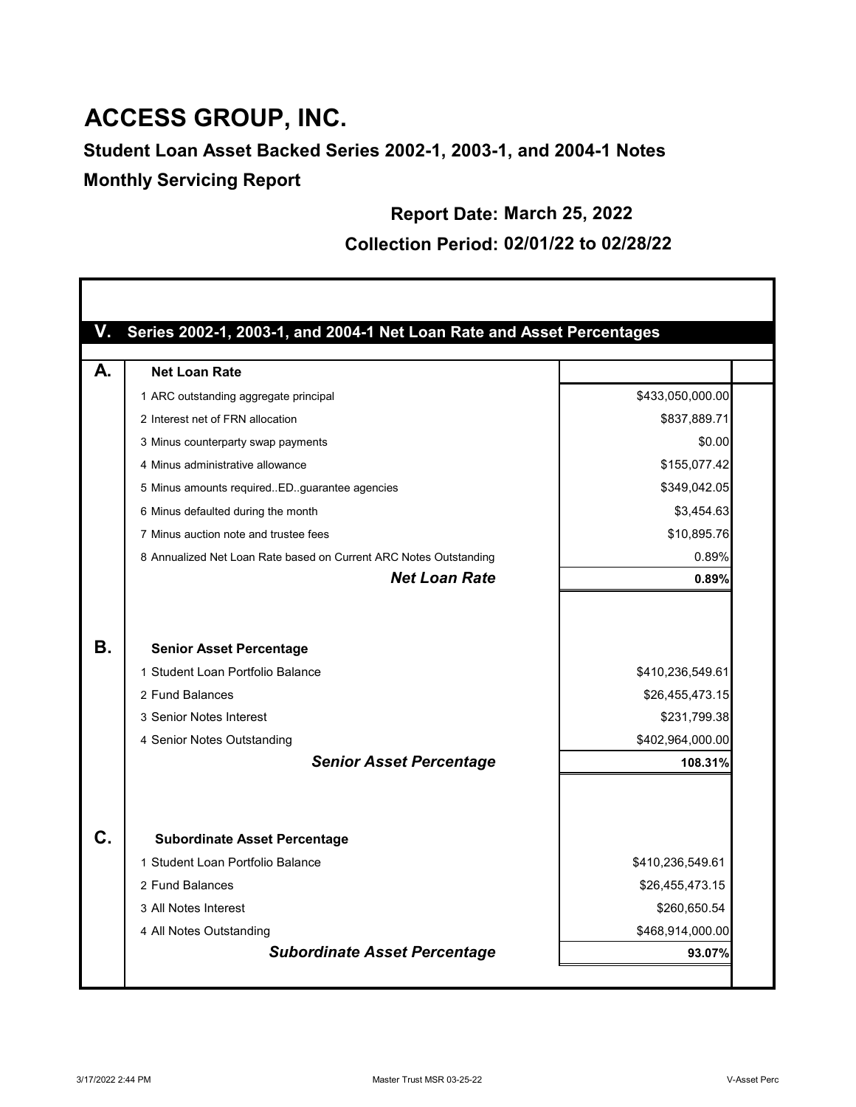### **Student Loan Asset Backed Series 2002-1, 2003-1, and 2004-1 Notes Monthly Servicing Report**

#### **Report Date: March 25, 2022**

#### **Collection Period: 02/01/22 to 02/28/22**

|    | Series 2002-1, 2003-1, and 2004-1 Net Loan Rate and Asset Percentages          |                                                     |
|----|--------------------------------------------------------------------------------|-----------------------------------------------------|
|    | <b>Net Loan Rate</b>                                                           |                                                     |
|    | 1 ARC outstanding aggregate principal                                          | \$433,050,000.00                                    |
|    | 2 Interest net of FRN allocation                                               | \$837,889.71                                        |
|    | 3 Minus counterparty swap payments                                             | \$0.00                                              |
|    | 4 Minus administrative allowance                                               | \$155,077.42                                        |
|    | 5 Minus amounts requiredEDguarantee agencies                                   | \$349,042.05                                        |
|    | 6 Minus defaulted during the month                                             | \$3,454.63                                          |
|    | 7 Minus auction note and trustee fees                                          | \$10,895.76                                         |
|    | 8 Annualized Net Loan Rate based on Current ARC Notes Outstanding              | 0.89%                                               |
|    | <b>Net Loan Rate</b>                                                           | 0.89%                                               |
|    | 1 Student Loan Portfolio Balance<br>2 Fund Balances<br>3 Senior Notes Interest | \$410,236,549.61<br>\$26,455,473.15<br>\$231,799.38 |
|    | 4 Senior Notes Outstanding                                                     | \$402,964,000.00                                    |
|    |                                                                                | 108.31%                                             |
|    | <b>Senior Asset Percentage</b>                                                 |                                                     |
|    | <b>Subordinate Asset Percentage</b>                                            |                                                     |
|    | 1 Student Loan Portfolio Balance                                               | \$410,236,549.61                                    |
| С. | 2 Fund Balances                                                                | \$26,455,473.15                                     |
|    | 3 All Notes Interest                                                           | \$260,650.54                                        |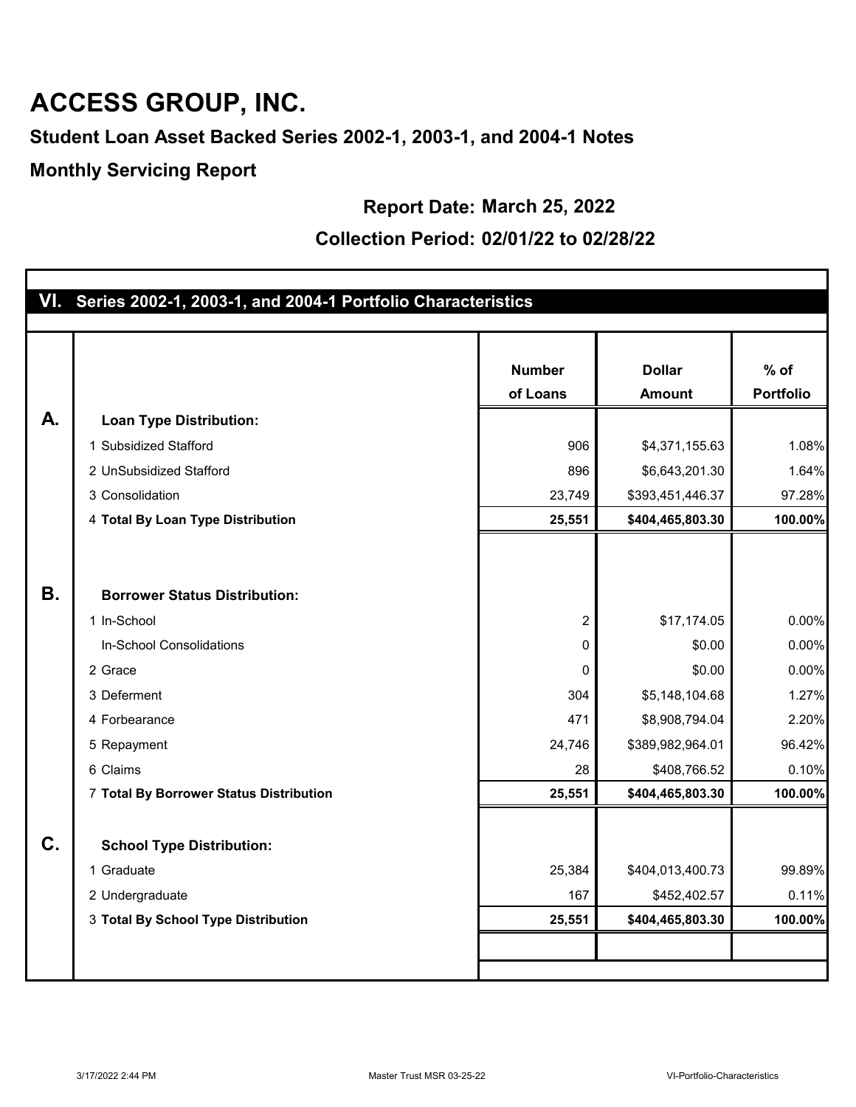**Student Loan Asset Backed Series 2002-1, 2003-1, and 2004-1 Notes**

**Monthly Servicing Report**

**Report Date: March 25, 2022**

#### **Collection Period: 02/01/22 to 02/28/22**

|           | VI. Series 2002-1, 2003-1, and 2004-1 Portfolio Characteristics |                |                  |                  |
|-----------|-----------------------------------------------------------------|----------------|------------------|------------------|
|           |                                                                 |                |                  |                  |
|           |                                                                 |                |                  |                  |
|           |                                                                 | <b>Number</b>  | <b>Dollar</b>    | $%$ of           |
|           |                                                                 | of Loans       | <b>Amount</b>    | <b>Portfolio</b> |
| А.        | <b>Loan Type Distribution:</b>                                  |                |                  |                  |
|           | 1 Subsidized Stafford                                           | 906            | \$4,371,155.63   | 1.08%            |
|           | 2 UnSubsidized Stafford                                         | 896            | \$6,643,201.30   | 1.64%            |
|           | 3 Consolidation                                                 | 23,749         | \$393,451,446.37 | 97.28%           |
|           | 4 Total By Loan Type Distribution                               | 25,551         | \$404,465,803.30 | 100.00%          |
|           |                                                                 |                |                  |                  |
|           |                                                                 |                |                  |                  |
| <b>B.</b> | <b>Borrower Status Distribution:</b>                            |                |                  |                  |
|           | 1 In-School                                                     | $\overline{2}$ | \$17,174.05      | 0.00%            |
|           | In-School Consolidations                                        | 0              | \$0.00           | 0.00%            |
|           | 2 Grace                                                         | 0              | \$0.00           | 0.00%            |
|           | 3 Deferment                                                     | 304            | \$5,148,104.68   | 1.27%            |
|           | 4 Forbearance                                                   | 471            | \$8,908,794.04   | 2.20%            |
|           | 5 Repayment                                                     | 24,746         | \$389,982,964.01 | 96.42%           |
|           | 6 Claims                                                        | 28             | \$408,766.52     | 0.10%            |
|           | 7 Total By Borrower Status Distribution                         | 25,551         | \$404,465,803.30 | 100.00%          |
|           |                                                                 |                |                  |                  |
| C.        | <b>School Type Distribution:</b>                                |                |                  |                  |
|           | 1 Graduate                                                      | 25,384         | \$404,013,400.73 | 99.89%           |
|           | 2 Undergraduate                                                 | 167            | \$452,402.57     | 0.11%            |
|           | 3 Total By School Type Distribution                             | 25,551         | \$404,465,803.30 | 100.00%          |
|           |                                                                 |                |                  |                  |
|           |                                                                 |                |                  |                  |
|           |                                                                 |                |                  |                  |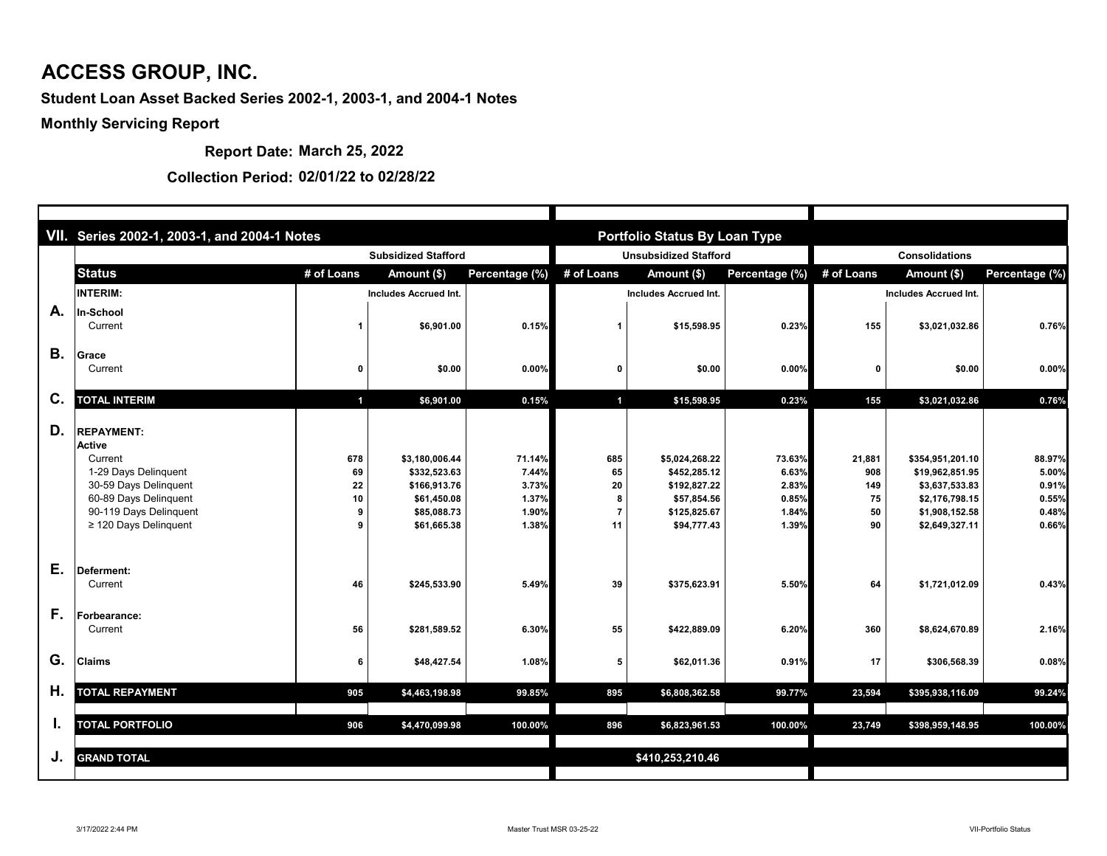|                | VII. Series 2002-1, 2003-1, and 2004-1 Notes                                                                                                                               |                       |                                                                                             |                                                     |                              | <b>Portfolio Status By Loan Type</b>                                                         |                                                     |                                        |                                                                                                             |                                                     |
|----------------|----------------------------------------------------------------------------------------------------------------------------------------------------------------------------|-----------------------|---------------------------------------------------------------------------------------------|-----------------------------------------------------|------------------------------|----------------------------------------------------------------------------------------------|-----------------------------------------------------|----------------------------------------|-------------------------------------------------------------------------------------------------------------|-----------------------------------------------------|
|                |                                                                                                                                                                            |                       | <b>Subsidized Stafford</b>                                                                  |                                                     | <b>Unsubsidized Stafford</b> |                                                                                              | <b>Consolidations</b>                               |                                        |                                                                                                             |                                                     |
|                | <b>Status</b>                                                                                                                                                              | # of Loans            | Amount (\$)                                                                                 | Percentage (%)                                      | # of Loans                   | Amount (\$)                                                                                  | Percentage (%)                                      | # of Loans                             | Amount (\$)                                                                                                 | Percentage (%)                                      |
|                | <b>INTERIM:</b>                                                                                                                                                            |                       | <b>Includes Accrued Int.</b>                                                                |                                                     |                              | <b>Includes Accrued Int.</b>                                                                 |                                                     |                                        | <b>Includes Accrued Int.</b>                                                                                |                                                     |
| A.             | <b>In-School</b><br>Current                                                                                                                                                |                       | \$6,901.00                                                                                  | 0.15%                                               |                              | \$15,598.95                                                                                  | 0.23%                                               | 155                                    | \$3,021,032.86                                                                                              | 0.76%                                               |
| <b>B.</b>      | <b>Grace</b><br>Current                                                                                                                                                    |                       | \$0.00                                                                                      | 0.00%                                               | 0                            | \$0.00                                                                                       | 0.00%                                               |                                        | \$0.00                                                                                                      | 0.00%                                               |
| $\mathbf{C}$ . | <b>TOTAL INTERIM</b>                                                                                                                                                       | $\blacksquare$        | \$6,901.00                                                                                  | 0.15%                                               | $\blacktriangleleft$         | \$15,598.95                                                                                  | 0.23%                                               | 155                                    | \$3,021,032.86                                                                                              | 0.76%                                               |
| D.             | <b>REPAYMENT:</b><br><b>Active</b><br>Current<br>1-29 Days Delinquent<br>30-59 Days Delinquent<br>60-89 Days Delinquent<br>90-119 Days Delinquent<br>≥ 120 Days Delinquent | 678<br>69<br>22<br>10 | \$3,180,006.44<br>\$332,523.63<br>\$166,913.76<br>\$61,450.08<br>\$85,088.73<br>\$61,665.38 | 71.14%<br>7.44%<br>3.73%<br>1.37%<br>1.90%<br>1.38% | 685<br>65<br>20<br>11        | \$5,024,268.22<br>\$452,285.12<br>\$192,827.22<br>\$57,854.56<br>\$125,825.67<br>\$94,777.43 | 73.63%<br>6.63%<br>2.83%<br>0.85%<br>1.84%<br>1.39% | 21,881<br>908<br>149<br>75<br>50<br>90 | \$354,951,201.10<br>\$19,962,851.95<br>\$3,637,533.83<br>\$2,176,798.15<br>\$1,908,152.58<br>\$2,649,327.11 | 88.97%<br>5.00%<br>0.91%<br>0.55%<br>0.48%<br>0.66% |
| Ε.             | <b>Deferment:</b><br>Current                                                                                                                                               | 46                    | \$245,533.90                                                                                | 5.49%                                               | 39                           | \$375,623.91                                                                                 | 5.50%                                               | 64                                     | \$1,721,012.09                                                                                              | 0.43%                                               |
| F.             | <b>IForbearance:</b><br>Current                                                                                                                                            | 56                    | \$281,589.52                                                                                | 6.30%                                               | 55                           | \$422,889.09                                                                                 | 6.20%                                               | 360                                    | \$8,624,670.89                                                                                              | 2.16%                                               |
| G.             | <b>Claims</b>                                                                                                                                                              | 6                     | \$48,427.54                                                                                 | 1.08%                                               | 5                            | \$62,011.36                                                                                  | 0.91%                                               | 17                                     | \$306,568.39                                                                                                | 0.08%                                               |
| Η.             | <b>TOTAL REPAYMENT</b>                                                                                                                                                     | 905                   | \$4,463,198.98                                                                              | 99.85%                                              | 895                          | \$6,808,362.58                                                                               | 99.77%                                              | 23,594                                 | \$395,938,116.09                                                                                            | 99.24%                                              |
| ι.             | <b>TOTAL PORTFOLIO</b>                                                                                                                                                     | 906                   | \$4,470,099.98                                                                              | 100.00%                                             | 896                          | \$6,823,961.53                                                                               | 100.00%                                             | 23,749                                 | \$398,959,148.95                                                                                            | 100.00%                                             |
| J.             | <b>GRAND TOTAL</b>                                                                                                                                                         |                       |                                                                                             |                                                     |                              | \$410,253,210.46                                                                             |                                                     |                                        |                                                                                                             |                                                     |

**Report Date: March 25, 2022**

### **Collection Period: 02/01/22 to 02/28/22**

# **ACCESS GROUP, INC.**

### **Student Loan Asset Backed Series 2002-1, 2003-1, and 2004-1 Notes**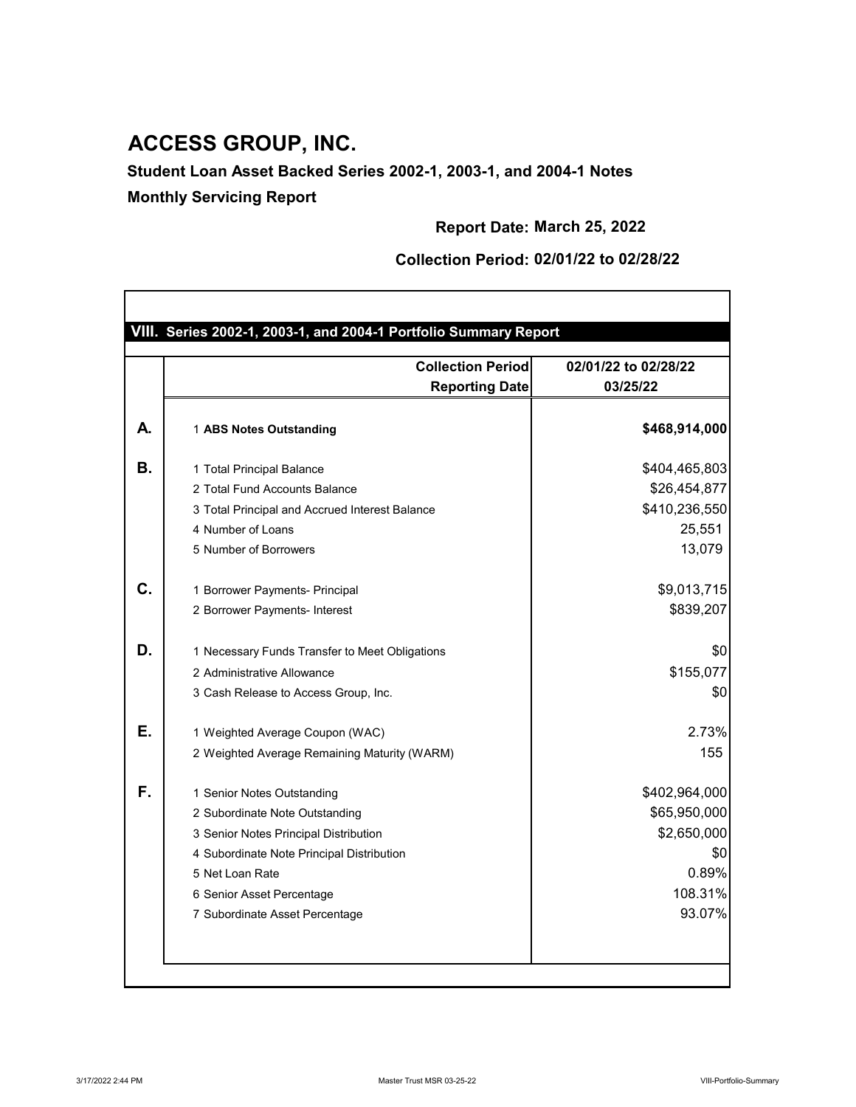|    | <b>Collection Period</b>                       | 02/01/22 to 02/28/22 |
|----|------------------------------------------------|----------------------|
|    | <b>Reporting Date</b>                          | 03/25/22             |
| А. | 1 ABS Notes Outstanding                        | \$468,914,000        |
| В. | 1 Total Principal Balance                      | \$404,465,803        |
|    | 2 Total Fund Accounts Balance                  | \$26,454,877         |
|    | 3 Total Principal and Accrued Interest Balance | \$410,236,550        |
|    | 4 Number of Loans                              | 25,551               |
|    | 5 Number of Borrowers                          | 13,079               |
| C. | 1 Borrower Payments- Principal                 | \$9,013,715          |
|    | 2 Borrower Payments- Interest                  | \$839,207            |
| D. | 1 Necessary Funds Transfer to Meet Obligations | \$0                  |
|    | 2 Administrative Allowance                     | \$155,077            |
|    | 3 Cash Release to Access Group, Inc.           | \$0                  |
| È. | 1 Weighted Average Coupon (WAC)                | 2.73%                |
|    | 2 Weighted Average Remaining Maturity (WARM)   | 155                  |
| F. | 1 Senior Notes Outstanding                     | \$402,964,000        |
|    | 2 Subordinate Note Outstanding                 | \$65,950,000         |
|    | 3 Senior Notes Principal Distribution          | \$2,650,000          |
|    | 4 Subordinate Note Principal Distribution      | \$0                  |
|    | 5 Net Loan Rate                                | 0.89%                |

**Report Date: March 25, 2022**

**Collection Period: 02/01/22 to 02/28/22**



# **ACCESS GROUP, INC.**

**Student Loan Asset Backed Series 2002-1, 2003-1, and 2004-1 Notes**